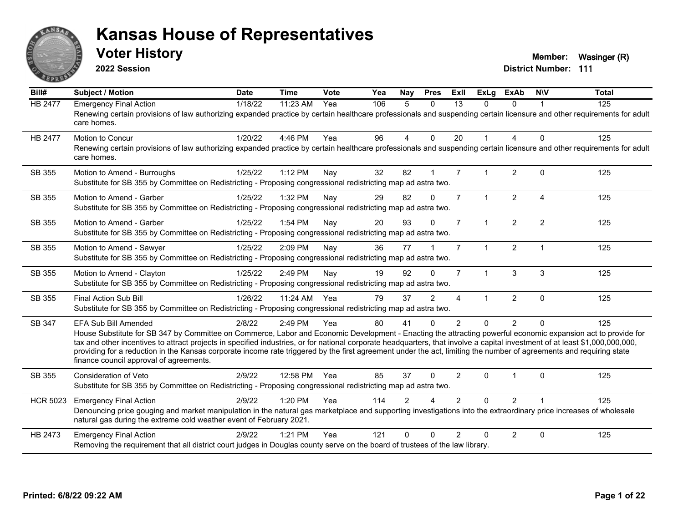

**2022 Session**

**Voter History Member:** Wasinger (R)

| Bill#           | Subject / Motion                                                                                                                                                                                                                                                                                                                                                                                                                                                                                                                                                                            | <b>Date</b> | <b>Time</b> | Vote | Yea | <b>Nay</b>     | <b>Pres</b>  | ExII           | <b>ExLg</b>          | <b>ExAb</b>    | <b>NIV</b>     | <b>Total</b> |
|-----------------|---------------------------------------------------------------------------------------------------------------------------------------------------------------------------------------------------------------------------------------------------------------------------------------------------------------------------------------------------------------------------------------------------------------------------------------------------------------------------------------------------------------------------------------------------------------------------------------------|-------------|-------------|------|-----|----------------|--------------|----------------|----------------------|----------------|----------------|--------------|
| HB 2477         | <b>Emergency Final Action</b><br>Renewing certain provisions of law authorizing expanded practice by certain healthcare professionals and suspending certain licensure and other requirements for adult<br>care homes.                                                                                                                                                                                                                                                                                                                                                                      | 1/18/22     | 11:23 AM    | Yea  | 106 | 5              | $\Omega$     | 13             | $\Omega$             | $\Omega$       |                | 125          |
| <b>HB 2477</b>  | Motion to Concur<br>Renewing certain provisions of law authorizing expanded practice by certain healthcare professionals and suspending certain licensure and other requirements for adult<br>care homes.                                                                                                                                                                                                                                                                                                                                                                                   | 1/20/22     | 4:46 PM     | Yea  | 96  | $\overline{4}$ | $\mathbf{0}$ | 20             | 1                    | 4              | $\Omega$       | 125          |
| SB 355          | Motion to Amend - Burroughs<br>Substitute for SB 355 by Committee on Redistricting - Proposing congressional redistricting map ad astra two.                                                                                                                                                                                                                                                                                                                                                                                                                                                | 1/25/22     | 1:12 PM     | Nay  | 32  | 82             | $\mathbf{1}$ | $\overline{7}$ |                      | $\overline{2}$ | $\Omega$       | 125          |
| SB 355          | Motion to Amend - Garber<br>Substitute for SB 355 by Committee on Redistricting - Proposing congressional redistricting map ad astra two.                                                                                                                                                                                                                                                                                                                                                                                                                                                   | 1/25/22     | 1:32 PM     | Nay  | 29  | 82             | $\Omega$     | $\overline{7}$ | $\mathbf{1}$         | $\overline{2}$ | $\overline{A}$ | 125          |
| SB 355          | Motion to Amend - Garber<br>Substitute for SB 355 by Committee on Redistricting - Proposing congressional redistricting map ad astra two.                                                                                                                                                                                                                                                                                                                                                                                                                                                   | 1/25/22     | 1:54 PM     | Nay  | 20  | 93             | $\Omega$     | $\overline{7}$ | $\mathbf{1}$         | $\overline{2}$ | $\overline{2}$ | 125          |
| SB 355          | Motion to Amend - Sawyer<br>Substitute for SB 355 by Committee on Redistricting - Proposing congressional redistricting map ad astra two.                                                                                                                                                                                                                                                                                                                                                                                                                                                   | 1/25/22     | 2:09 PM     | Nay  | 36  | 77             |              | $\overline{7}$ | $\blacktriangleleft$ | $\overline{2}$ | $\mathbf{1}$   | 125          |
| SB 355          | Motion to Amend - Clayton<br>Substitute for SB 355 by Committee on Redistricting - Proposing congressional redistricting map ad astra two.                                                                                                                                                                                                                                                                                                                                                                                                                                                  | 1/25/22     | 2:49 PM     | Nay  | 19  | 92             | $\Omega$     | $\overline{7}$ | $\mathbf{1}$         | 3              | 3              | 125          |
| SB 355          | Final Action Sub Bill<br>Substitute for SB 355 by Committee on Redistricting - Proposing congressional redistricting map ad astra two.                                                                                                                                                                                                                                                                                                                                                                                                                                                      | 1/26/22     | 11:24 AM    | Yea  | 79  | 37             | 2            | 4              | 1                    | $\overline{2}$ | $\mathbf 0$    | 125          |
| SB 347          | EFA Sub Bill Amended<br>House Substitute for SB 347 by Committee on Commerce, Labor and Economic Development - Enacting the attracting powerful economic expansion act to provide for<br>tax and other incentives to attract projects in specified industries, or for national corporate headquarters, that involve a capital investment of at least \$1,000,000,000,000,<br>providing for a reduction in the Kansas corporate income rate triggered by the first agreement under the act, limiting the number of agreements and requiring state<br>finance council approval of agreements. | 2/8/22      | 2:49 PM     | Yea  | 80  | 41             | $\Omega$     | 2              | $\Omega$             | $\overline{2}$ | $\Omega$       | 125          |
| SB 355          | Consideration of Veto<br>Substitute for SB 355 by Committee on Redistricting - Proposing congressional redistricting map ad astra two.                                                                                                                                                                                                                                                                                                                                                                                                                                                      | 2/9/22      | 12:58 PM    | Yea  | 85  | 37             | $\Omega$     | 2              | $\Omega$             |                | $\Omega$       | 125          |
| <b>HCR 5023</b> | <b>Emergency Final Action</b><br>Denouncing price gouging and market manipulation in the natural gas marketplace and supporting investigations into the extraordinary price increases of wholesale<br>natural gas during the extreme cold weather event of February 2021.                                                                                                                                                                                                                                                                                                                   | 2/9/22      | 1:20 PM     | Yea  | 114 | $\mathfrak{p}$ |              | $\mathcal{P}$  | $\Omega$             | $\overline{2}$ |                | 125          |
| HB 2473         | <b>Emergency Final Action</b><br>Removing the requirement that all district court judges in Douglas county serve on the board of trustees of the law library.                                                                                                                                                                                                                                                                                                                                                                                                                               | 2/9/22      | $1:21$ PM   | Yea  | 121 | $\Omega$       | $\Omega$     | $\mathcal{P}$  | $\Omega$             | $\overline{2}$ | $\mathbf 0$    | 125          |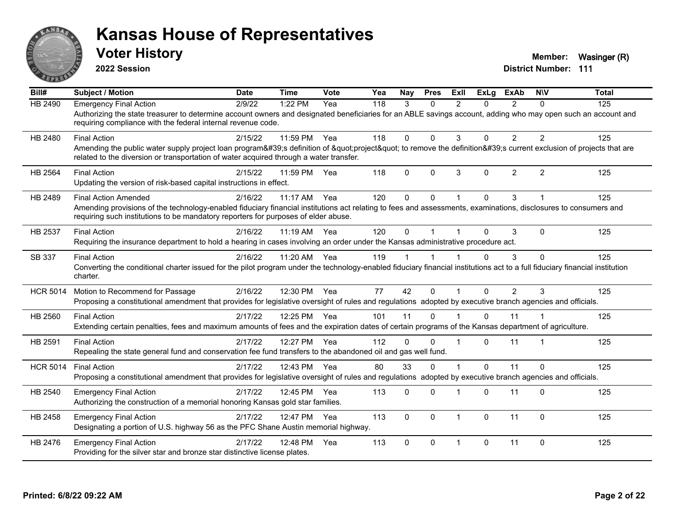

**2022 Session**

**Voter History Member:** Wasinger (R)

| Bill#           | <b>Subject / Motion</b>                                                                                                                                                                                                                                                              | <b>Date</b> | <b>Time</b>  | Vote | Yea | <b>Nav</b>   | <b>Pres</b>  | ExIl                    | $\overline{Ex}$ Lg | <b>ExAb</b>    | <b>NIV</b>     | <b>Total</b> |
|-----------------|--------------------------------------------------------------------------------------------------------------------------------------------------------------------------------------------------------------------------------------------------------------------------------------|-------------|--------------|------|-----|--------------|--------------|-------------------------|--------------------|----------------|----------------|--------------|
| <b>HB 2490</b>  | <b>Emergency Final Action</b><br>Authorizing the state treasurer to determine account owners and designated beneficiaries for an ABLE savings account, adding who may open such an account and<br>requiring compliance with the federal internal revenue code.                       | 2/9/22      | 1:22 PM      | Yea  | 118 | 3            | $\Omega$     | $\mathfrak{p}$          | $\Omega$           | $\mathcal{P}$  | $\Omega$       | 125          |
| HB 2480         | <b>Final Action</b><br>Amending the public water supply project loan program's definition of "project" to remove the definition's current exclusion of projects that are<br>related to the diversion or transportation of water acquired through a water transfer.                   | 2/15/22     | 11:59 PM     | Yea  | 118 | $\mathbf{0}$ | $\Omega$     | 3                       | 0                  | $\overline{2}$ | $\overline{2}$ | 125          |
| HB 2564         | <b>Final Action</b><br>Updating the version of risk-based capital instructions in effect.                                                                                                                                                                                            | 2/15/22     | 11:59 PM     | Yea  | 118 | $\Omega$     | $\Omega$     | 3                       | $\Omega$           | 2              | 2              | 125          |
| HB 2489         | <b>Final Action Amended</b><br>Amending provisions of the technology-enabled fiduciary financial institutions act relating to fees and assessments, examinations, disclosures to consumers and<br>requiring such institutions to be mandatory reporters for purposes of elder abuse. | 2/16/22     | $11:17$ AM   | Yea  | 120 | $\mathbf{0}$ | $\mathbf 0$  |                         | 0                  | 3              |                | 125          |
| HB 2537         | <b>Final Action</b><br>Requiring the insurance department to hold a hearing in cases involving an order under the Kansas administrative procedure act.                                                                                                                               | 2/16/22     | 11:19 AM     | Yea  | 120 | $\mathbf{0}$ |              |                         | 0                  | 3              | $\Omega$       | 125          |
| SB 337          | <b>Final Action</b><br>Converting the conditional charter issued for the pilot program under the technology-enabled fiduciary financial institutions act to a full fiduciary financial institution<br>charter.                                                                       | 2/16/22     | 11:20 AM     | Yea  | 119 |              |              |                         | $\Omega$           | 3              | $\Omega$       | 125          |
| <b>HCR 5014</b> | Motion to Recommend for Passage<br>Proposing a constitutional amendment that provides for legislative oversight of rules and regulations adopted by executive branch agencies and officials.                                                                                         | 2/16/22     | 12:30 PM     | Yea  | 77  | 42           | $\Omega$     |                         | $\Omega$           | $\overline{2}$ | 3              | 125          |
| HB 2560         | <b>Final Action</b><br>Extending certain penalties, fees and maximum amounts of fees and the expiration dates of certain programs of the Kansas department of agriculture.                                                                                                           | 2/17/22     | 12:25 PM Yea |      | 101 | 11           | $\Omega$     |                         | $\Omega$           | 11             |                | 125          |
| HB 2591         | <b>Final Action</b><br>Repealing the state general fund and conservation fee fund transfers to the abandoned oil and gas well fund.                                                                                                                                                  | 2/17/22     | 12:27 PM Yea |      | 112 | $\mathbf{0}$ | $\Omega$     | -1                      | $\Omega$           | 11             |                | 125          |
| <b>HCR 5014</b> | <b>Final Action</b><br>Proposing a constitutional amendment that provides for legislative oversight of rules and regulations adopted by executive branch agencies and officials.                                                                                                     | 2/17/22     | 12:43 PM     | Yea  | 80  | 33           | $\Omega$     |                         | $\Omega$           | 11             | $\Omega$       | 125          |
| HB 2540         | <b>Emergency Final Action</b><br>Authorizing the construction of a memorial honoring Kansas gold star families.                                                                                                                                                                      | 2/17/22     | 12:45 PM     | Yea  | 113 | $\mathbf{0}$ | $\Omega$     |                         | $\Omega$           | 11             | $\Omega$       | 125          |
| HB 2458         | <b>Emergency Final Action</b><br>Designating a portion of U.S. highway 56 as the PFC Shane Austin memorial highway.                                                                                                                                                                  | 2/17/22     | 12:47 PM     | Yea  | 113 | $\Omega$     | $\mathbf{0}$ | $\overline{1}$          | 0                  | 11             | $\mathbf 0$    | 125          |
| HB 2476         | <b>Emergency Final Action</b><br>Providing for the silver star and bronze star distinctive license plates.                                                                                                                                                                           | 2/17/22     | 12:48 PM     | Yea  | 113 | $\Omega$     | $\Omega$     | $\overline{\mathbf{1}}$ | 0                  | 11             | $\Omega$       | 125          |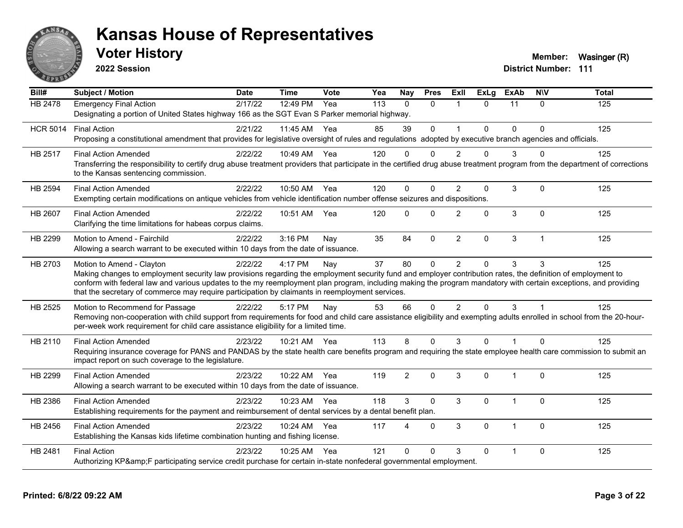

**2022 Session**

**Voter History Member:** Wasinger (R)

| Bill#           | <b>Subject / Motion</b>                                                                                                                                                                                                                                                                                                                                                                                                                                         | <b>Date</b> | <b>Time</b>  | Vote | Yea | <b>Nay</b>     | <b>Pres</b>  | ExII                    | <b>ExLg</b> | <b>ExAb</b>    | <b>NIV</b>   | <b>Total</b>   |
|-----------------|-----------------------------------------------------------------------------------------------------------------------------------------------------------------------------------------------------------------------------------------------------------------------------------------------------------------------------------------------------------------------------------------------------------------------------------------------------------------|-------------|--------------|------|-----|----------------|--------------|-------------------------|-------------|----------------|--------------|----------------|
| <b>HB 2478</b>  | <b>Emergency Final Action</b><br>Designating a portion of United States highway 166 as the SGT Evan S Parker memorial highway.                                                                                                                                                                                                                                                                                                                                  | 2/17/22     | 12:49 PM     | Yea  | 113 | $\Omega$       | $\Omega$     | $\mathbf{1}$            | $\Omega$    | 11             | $\Omega$     | $\frac{1}{25}$ |
| <b>HCR 5014</b> | <b>Final Action</b><br>Proposing a constitutional amendment that provides for legislative oversight of rules and regulations adopted by executive branch agencies and officials.                                                                                                                                                                                                                                                                                | 2/21/22     | 11:45 AM     | Yea  | 85  | 39             | $\mathbf{0}$ | $\overline{\mathbf{1}}$ | $\Omega$    | $\Omega$       | $\Omega$     | 125            |
| HB 2517         | <b>Final Action Amended</b><br>Transferring the responsibility to certify drug abuse treatment providers that participate in the certified drug abuse treatment program from the department of corrections<br>to the Kansas sentencing commission.                                                                                                                                                                                                              | 2/22/22     | 10:49 AM Yea |      | 120 | $\Omega$       | $\Omega$     | $\mathcal{P}$           | 0           | 3              | $\Omega$     | 125            |
| <b>HB 2594</b>  | <b>Final Action Amended</b><br>Exempting certain modifications on antique vehicles from vehicle identification number offense seizures and dispositions.                                                                                                                                                                                                                                                                                                        | 2/22/22     | 10:50 AM     | Yea  | 120 | $\Omega$       | $\Omega$     | $\mathfrak{p}$          | 0           | 3              | $\mathbf{0}$ | 125            |
| <b>HB 2607</b>  | <b>Final Action Amended</b><br>Clarifying the time limitations for habeas corpus claims.                                                                                                                                                                                                                                                                                                                                                                        | 2/22/22     | 10:51 AM     | Yea  | 120 | $\mathbf{0}$   | $\Omega$     | 2                       | $\Omega$    | 3              | $\mathbf{0}$ | 125            |
| HB 2299         | Motion to Amend - Fairchild<br>Allowing a search warrant to be executed within 10 days from the date of issuance.                                                                                                                                                                                                                                                                                                                                               | 2/22/22     | 3:16 PM      | Nay  | 35  | 84             | $\mathbf{0}$ | $\overline{2}$          | 0           | 3              | $\mathbf{1}$ | 125            |
| HB 2703         | Motion to Amend - Clayton<br>Making changes to employment security law provisions regarding the employment security fund and employer contribution rates, the definition of employment to<br>conform with federal law and various updates to the my reemployment plan program, including making the program mandatory with certain exceptions, and providing<br>that the secretary of commerce may require participation by claimants in reemployment services. | 2/22/22     | 4:17 PM      | Nay  | 37  | 80             | $\mathbf 0$  | $\overline{2}$          | $\Omega$    | 3              | 3            | 125            |
| HB 2525         | Motion to Recommend for Passage<br>Removing non-cooperation with child support from requirements for food and child care assistance eligibility and exempting adults enrolled in school from the 20-hour-<br>per-week work requirement for child care assistance eligibility for a limited time.                                                                                                                                                                | 2/22/22     | 5:17 PM      | Nay  | 53  | 66             | $\mathbf{0}$ | $\overline{2}$          | $\Omega$    | 3              |              | 125            |
| HB 2110         | <b>Final Action Amended</b><br>Requiring insurance coverage for PANS and PANDAS by the state health care benefits program and requiring the state employee health care commission to submit an<br>impact report on such coverage to the legislature.                                                                                                                                                                                                            | 2/23/22     | 10:21 AM Yea |      | 113 | 8              | $\Omega$     | 3                       | $\Omega$    | $\overline{1}$ | $\Omega$     | 125            |
| HB 2299         | <b>Final Action Amended</b><br>Allowing a search warrant to be executed within 10 days from the date of issuance.                                                                                                                                                                                                                                                                                                                                               | 2/23/22     | 10:22 AM     | Yea  | 119 | $\overline{2}$ | $\mathbf{0}$ | 3                       | 0           | 1              | $\mathbf{0}$ | 125            |
| HB 2386         | <b>Final Action Amended</b><br>Establishing requirements for the payment and reimbursement of dental services by a dental benefit plan.                                                                                                                                                                                                                                                                                                                         | 2/23/22     | 10:23 AM Yea |      | 118 | 3              | $\mathbf{0}$ | 3                       | $\Omega$    | 1              | $\Omega$     | 125            |
| HB 2456         | <b>Final Action Amended</b><br>Establishing the Kansas kids lifetime combination hunting and fishing license.                                                                                                                                                                                                                                                                                                                                                   | 2/23/22     | 10:24 AM     | Yea  | 117 | Δ              | $\Omega$     | 3                       | $\Omega$    | $\overline{1}$ | $\Omega$     | 125            |
| <b>HB 2481</b>  | <b>Final Action</b><br>Authorizing KP&F participating service credit purchase for certain in-state nonfederal governmental employment.                                                                                                                                                                                                                                                                                                                          | 2/23/22     | 10:25 AM     | Yea  | 121 | $\Omega$       | $\Omega$     | 3                       | $\Omega$    | $\overline{1}$ | $\Omega$     | 125            |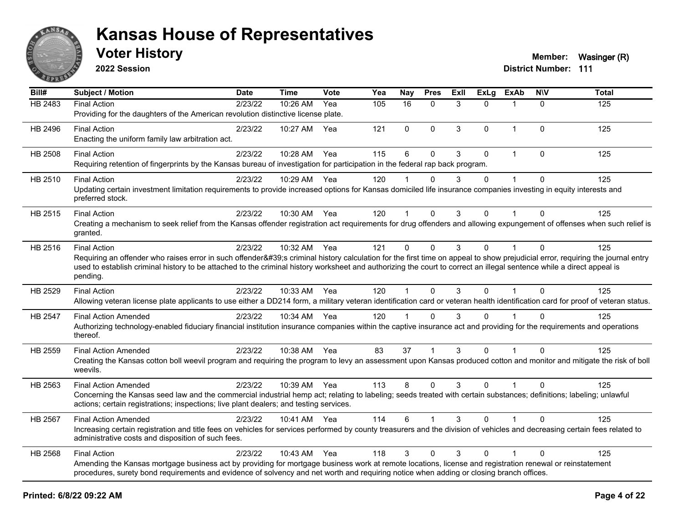

**2022 Session**

**Voter History Member:** Wasinger (R)

| Bill#   | <b>Subject / Motion</b>                                                                                                                                                                                                                                                                             | <b>Date</b> | Time         | <b>Vote</b> | Yea | <b>Nay</b>           | <b>Pres</b>    | ExII | <b>ExLg</b>  | <b>ExAb</b>  | <b>NIV</b>   | <b>Total</b> |
|---------|-----------------------------------------------------------------------------------------------------------------------------------------------------------------------------------------------------------------------------------------------------------------------------------------------------|-------------|--------------|-------------|-----|----------------------|----------------|------|--------------|--------------|--------------|--------------|
| HB 2483 | <b>Final Action</b>                                                                                                                                                                                                                                                                                 | 2/23/22     | 10:26 AM     | Yea         | 105 | 16                   | $\Omega$       | 3    | $\Omega$     | 1            | $\Omega$     | 125          |
|         | Providing for the daughters of the American revolution distinctive license plate.                                                                                                                                                                                                                   |             |              |             |     |                      |                |      |              |              |              |              |
| HB 2496 | <b>Final Action</b>                                                                                                                                                                                                                                                                                 | 2/23/22     | 10:27 AM     | Yea         | 121 | $\mathbf 0$          | $\Omega$       | 3    | $\mathbf{0}$ | $\mathbf{1}$ | $\Omega$     | 125          |
|         | Enacting the uniform family law arbitration act.                                                                                                                                                                                                                                                    |             |              |             |     |                      |                |      |              |              |              |              |
| HB 2508 | <b>Final Action</b>                                                                                                                                                                                                                                                                                 | 2/23/22     | 10:28 AM     | Yea         | 115 | 6                    | $\mathbf{0}$   | 3    | $\Omega$     | $\mathbf{1}$ | $\mathbf{0}$ | 125          |
|         | Requiring retention of fingerprints by the Kansas bureau of investigation for participation in the federal rap back program.                                                                                                                                                                        |             |              |             |     |                      |                |      |              |              |              |              |
| HB 2510 | <b>Final Action</b>                                                                                                                                                                                                                                                                                 | 2/23/22     | 10:29 AM Yea |             | 120 |                      | $\Omega$       | 3    | $\mathbf{0}$ |              | $\mathbf{0}$ | 125          |
|         | Updating certain investment limitation requirements to provide increased options for Kansas domiciled life insurance companies investing in equity interests and                                                                                                                                    |             |              |             |     |                      |                |      |              |              |              |              |
|         | preferred stock.                                                                                                                                                                                                                                                                                    |             |              |             |     |                      |                |      |              |              |              |              |
| HB 2515 | <b>Final Action</b>                                                                                                                                                                                                                                                                                 | 2/23/22     | 10:30 AM Yea |             | 120 | $\blacktriangleleft$ | $\mathbf{0}$   | 3    | $\mathbf{0}$ | 1            | $\Omega$     | 125          |
|         | Creating a mechanism to seek relief from the Kansas offender registration act requirements for drug offenders and allowing expungement of offenses when such relief is                                                                                                                              |             |              |             |     |                      |                |      |              |              |              |              |
|         | granted.                                                                                                                                                                                                                                                                                            |             |              |             |     |                      |                |      |              |              |              |              |
| HB 2516 | <b>Final Action</b>                                                                                                                                                                                                                                                                                 | 2/23/22     | 10:32 AM     | Yea         | 121 | 0                    | $\mathbf 0$    | 3    | 0            | 1            | $\mathbf{0}$ | 125          |
|         | Requiring an offender who raises error in such offender's criminal history calculation for the first time on appeal to show prejudicial error, requiring the journal entry                                                                                                                          |             |              |             |     |                      |                |      |              |              |              |              |
|         | used to establish criminal history to be attached to the criminal history worksheet and authorizing the court to correct an illegal sentence while a direct appeal is<br>pending.                                                                                                                   |             |              |             |     |                      |                |      |              |              |              |              |
|         |                                                                                                                                                                                                                                                                                                     |             |              |             |     |                      |                |      |              |              |              |              |
| HB 2529 | <b>Final Action</b>                                                                                                                                                                                                                                                                                 | 2/23/22     | 10:33 AM Yea |             | 120 | $\mathbf{1}$         | $\Omega$       | 3    | $\Omega$     | $\mathbf{1}$ | $\Omega$     | 125          |
|         | Allowing veteran license plate applicants to use either a DD214 form, a military veteran identification card or veteran health identification card for proof of veteran status.                                                                                                                     |             |              |             |     |                      |                |      |              |              |              |              |
| HB 2547 | <b>Final Action Amended</b>                                                                                                                                                                                                                                                                         | 2/23/22     | 10:34 AM Yea |             | 120 | $\blacktriangleleft$ | $\Omega$       | 3    | $\Omega$     |              | $\Omega$     | 125          |
|         | Authorizing technology-enabled fiduciary financial institution insurance companies within the captive insurance act and providing for the requirements and operations<br>thereof.                                                                                                                   |             |              |             |     |                      |                |      |              |              |              |              |
| HB 2559 | <b>Final Action Amended</b>                                                                                                                                                                                                                                                                         | 2/23/22     | 10:38 AM Yea |             | 83  | 37                   | $\overline{1}$ | 3    | $\mathbf{0}$ | 1            | $\Omega$     | 125          |
|         | Creating the Kansas cotton boll weevil program and requiring the program to levy an assessment upon Kansas produced cotton and monitor and mitigate the risk of boll                                                                                                                                |             |              |             |     |                      |                |      |              |              |              |              |
|         | weevils.                                                                                                                                                                                                                                                                                            |             |              |             |     |                      |                |      |              |              |              |              |
| HB 2563 | <b>Final Action Amended</b>                                                                                                                                                                                                                                                                         | 2/23/22     | 10:39 AM Yea |             | 113 | 8                    | $\Omega$       | 3    | $\Omega$     | $\mathbf{1}$ | $\Omega$     | 125          |
|         | Concerning the Kansas seed law and the commercial industrial hemp act; relating to labeling; seeds treated with certain substances; definitions; labeling; unlawful                                                                                                                                 |             |              |             |     |                      |                |      |              |              |              |              |
|         | actions; certain registrations; inspections; live plant dealers; and testing services.                                                                                                                                                                                                              |             |              |             |     |                      |                |      |              |              |              |              |
| HB 2567 | <b>Final Action Amended</b>                                                                                                                                                                                                                                                                         | 2/23/22     | 10:41 AM Yea |             | 114 | 6                    |                | 3    | $\Omega$     |              | $\Omega$     | 125          |
|         | Increasing certain registration and title fees on vehicles for services performed by county treasurers and the division of vehicles and decreasing certain fees related to                                                                                                                          |             |              |             |     |                      |                |      |              |              |              |              |
|         | administrative costs and disposition of such fees.                                                                                                                                                                                                                                                  |             |              |             |     |                      |                |      |              |              |              |              |
| HB 2568 | <b>Final Action</b>                                                                                                                                                                                                                                                                                 | 2/23/22     | 10:43 AM     | Yea         | 118 | 3                    | $\Omega$       | 3    | $\Omega$     | $\mathbf{1}$ | $\Omega$     | 125          |
|         | Amending the Kansas mortgage business act by providing for mortgage business work at remote locations, license and registration renewal or reinstatement<br>procedures, surety bond requirements and evidence of solvency and net worth and requiring notice when adding or closing branch offices. |             |              |             |     |                      |                |      |              |              |              |              |
|         |                                                                                                                                                                                                                                                                                                     |             |              |             |     |                      |                |      |              |              |              |              |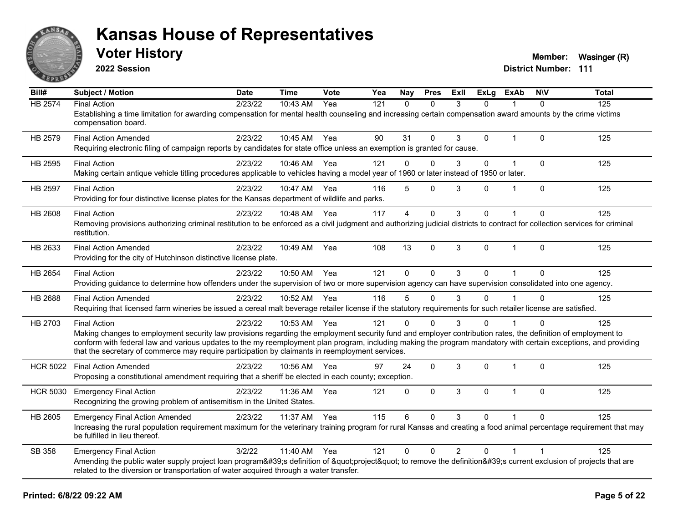

**2022 Session**

**Voter History Member:** Wasinger (R)

| Bill#           | <b>Subject / Motion</b>                                                                                                                                                                                                                                                                                                                                                                                                                                   | <b>Date</b> | <b>Time</b>  | Vote | Yea | Nay            | <b>Pres</b>  | <b>ExII</b>    | <b>ExLg</b> | <b>ExAb</b>    | <b>NIV</b>  | <b>Total</b> |
|-----------------|-----------------------------------------------------------------------------------------------------------------------------------------------------------------------------------------------------------------------------------------------------------------------------------------------------------------------------------------------------------------------------------------------------------------------------------------------------------|-------------|--------------|------|-----|----------------|--------------|----------------|-------------|----------------|-------------|--------------|
| <b>HB 2574</b>  | <b>Final Action</b><br>Establishing a time limitation for awarding compensation for mental health counseling and increasing certain compensation award amounts by the crime victims<br>compensation board.                                                                                                                                                                                                                                                | 2/23/22     | 10:43 AM     | Yea  | 121 | $\Omega$       | $\Omega$     | 3              | $\Omega$    |                | $\Omega$    | 125          |
| HB 2579         | <b>Final Action Amended</b><br>Requiring electronic filing of campaign reports by candidates for state office unless an exemption is granted for cause.                                                                                                                                                                                                                                                                                                   | 2/23/22     | 10:45 AM Yea |      | 90  | 31             | $\mathbf 0$  | 3              | 0           | $\overline{1}$ | $\Omega$    | 125          |
| HB 2595         | <b>Final Action</b><br>Making certain antique vehicle titling procedures applicable to vehicles having a model year of 1960 or later instead of 1950 or later.                                                                                                                                                                                                                                                                                            | 2/23/22     | 10:46 AM     | Yea  | 121 | $\mathbf 0$    | $\mathbf 0$  | 3              | 0           | 1              | $\mathbf 0$ | 125          |
| HB 2597         | <b>Final Action</b><br>Providing for four distinctive license plates for the Kansas department of wildlife and parks.                                                                                                                                                                                                                                                                                                                                     | 2/23/22     | 10:47 AM     | Yea  | 116 | 5              | $\mathbf 0$  | 3              | 0           | $\overline{1}$ | $\mathbf 0$ | 125          |
| HB 2608         | <b>Final Action</b><br>Removing provisions authorizing criminal restitution to be enforced as a civil judgment and authorizing judicial districts to contract for collection services for criminal<br>restitution.                                                                                                                                                                                                                                        | 2/23/22     | 10:48 AM     | Yea  | 117 | $\overline{4}$ | $\mathbf{0}$ | 3              | 0           |                | $\Omega$    | 125          |
| HB 2633         | <b>Final Action Amended</b><br>Providing for the city of Hutchinson distinctive license plate.                                                                                                                                                                                                                                                                                                                                                            | 2/23/22     | 10:49 AM     | Yea  | 108 | 13             | $\mathbf{0}$ | 3              | 0           | $\overline{1}$ | $\Omega$    | 125          |
| HB 2654         | <b>Final Action</b><br>Providing guidance to determine how offenders under the supervision of two or more supervision agency can have supervision consolidated into one agency.                                                                                                                                                                                                                                                                           | 2/23/22     | 10:50 AM     | Yea  | 121 | $\Omega$       | 0            | 3              | 0           |                | $\Omega$    | 125          |
| <b>HB 2688</b>  | <b>Final Action Amended</b><br>Requiring that licensed farm wineries be issued a cereal malt beverage retailer license if the statutory requirements for such retailer license are satisfied.                                                                                                                                                                                                                                                             | 2/23/22     | 10:52 AM     | Yea  | 116 | 5              | $\mathbf{0}$ | 3              | 0           |                | $\Omega$    | 125          |
| HB 2703         | <b>Final Action</b><br>Making changes to employment security law provisions regarding the employment security fund and employer contribution rates, the definition of employment to<br>conform with federal law and various updates to the my reemployment plan program, including making the program mandatory with certain exceptions, and providing<br>that the secretary of commerce may require participation by claimants in reemployment services. | 2/23/22     | 10:53 AM     | Yea  | 121 | $\mathbf{0}$   | $\Omega$     | 3              | $\Omega$    |                | $\Omega$    | 125          |
| <b>HCR 5022</b> | <b>Final Action Amended</b><br>Proposing a constitutional amendment requiring that a sheriff be elected in each county; exception.                                                                                                                                                                                                                                                                                                                        | 2/23/22     | 10:56 AM     | Yea  | 97  | 24             | $\mathbf{0}$ | 3              | 0           | 1              | $\Omega$    | 125          |
| <b>HCR 5030</b> | <b>Emergency Final Action</b><br>Recognizing the growing problem of antisemitism in the United States.                                                                                                                                                                                                                                                                                                                                                    | 2/23/22     | 11:36 AM     | Yea  | 121 | $\mathbf{0}$   | $\Omega$     | 3              | $\Omega$    | $\overline{1}$ | $\Omega$    | 125          |
| <b>HB 2605</b>  | <b>Emergency Final Action Amended</b><br>Increasing the rural population requirement maximum for the veterinary training program for rural Kansas and creating a food animal percentage requirement that may<br>be fulfilled in lieu thereof.                                                                                                                                                                                                             | 2/23/22     | 11:37 AM     | Yea  | 115 | 6              | $\Omega$     | 3              | $\Omega$    |                | $\Omega$    | 125          |
| SB 358          | <b>Emergency Final Action</b><br>Amending the public water supply project loan program's definition of "project" to remove the definition's current exclusion of projects that are<br>related to the diversion or transportation of water acquired through a water transfer.                                                                                                                                                                              | 3/2/22      | 11:40 AM     | Yea  | 121 | $\mathbf 0$    | 0            | $\overline{2}$ | 0           | $\overline{1}$ |             | 125          |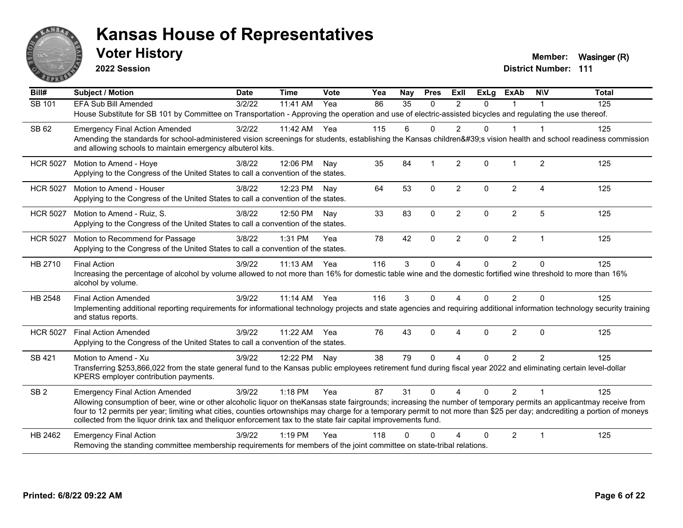

**2022 Session**

**Voter History Member:** Wasinger (R)

| Bill#           | <b>Subject / Motion</b>                                                                                                                                                                                                                                                                                                                                                                                                                                             | <b>Date</b> | <b>Time</b> | Vote | Yea | Nay      | <b>Pres</b>  | <b>ExII</b>    | <b>ExLg</b> | <b>ExAb</b>    | <b>NIV</b>             | <b>Total</b> |
|-----------------|---------------------------------------------------------------------------------------------------------------------------------------------------------------------------------------------------------------------------------------------------------------------------------------------------------------------------------------------------------------------------------------------------------------------------------------------------------------------|-------------|-------------|------|-----|----------|--------------|----------------|-------------|----------------|------------------------|--------------|
| SB 101          | <b>EFA Sub Bill Amended</b>                                                                                                                                                                                                                                                                                                                                                                                                                                         | 3/2/22      | 11:41 AM    | Yea  | 86  | 35       | $\Omega$     | 2              | $\Omega$    | $\mathbf 1$    |                        | 125          |
|                 | House Substitute for SB 101 by Committee on Transportation - Approving the operation and use of electric-assisted bicycles and regulating the use thereof.                                                                                                                                                                                                                                                                                                          |             |             |      |     |          |              |                |             |                |                        |              |
| SB 62           | <b>Emergency Final Action Amended</b>                                                                                                                                                                                                                                                                                                                                                                                                                               | 3/2/22      | 11:42 AM    | Yea  | 115 | 6        | $\Omega$     | 2              | $\Omega$    | 1              | -1                     | 125          |
|                 | Amending the standards for school-administered vision screenings for students, establishing the Kansas children's vision health and school readiness commission<br>and allowing schools to maintain emergency albuterol kits.                                                                                                                                                                                                                                       |             |             |      |     |          |              |                |             |                |                        |              |
| <b>HCR 5027</b> | Motion to Amend - Hoye                                                                                                                                                                                                                                                                                                                                                                                                                                              | 3/8/22      | 12:06 PM    | Nav  | 35  | 84       | $\mathbf 1$  | $\overline{2}$ | 0           | $\mathbf{1}$   | $\overline{2}$         | 125          |
|                 | Applying to the Congress of the United States to call a convention of the states.                                                                                                                                                                                                                                                                                                                                                                                   |             |             |      |     |          |              |                |             |                |                        |              |
| <b>HCR 5027</b> | Motion to Amend - Houser                                                                                                                                                                                                                                                                                                                                                                                                                                            | 3/8/22      | 12:23 PM    | Nav  | 64  | 53       | $\mathbf 0$  | $\overline{2}$ | $\Omega$    | $\overline{2}$ | $\boldsymbol{\Lambda}$ | 125          |
|                 | Applying to the Congress of the United States to call a convention of the states.                                                                                                                                                                                                                                                                                                                                                                                   |             |             |      |     |          |              |                |             |                |                        |              |
| <b>HCR 5027</b> | Motion to Amend - Ruiz, S.                                                                                                                                                                                                                                                                                                                                                                                                                                          | 3/8/22      | 12:50 PM    | Nav  | 33  | 83       | $\mathbf{0}$ | $\overline{2}$ | $\Omega$    | $\overline{2}$ | 5                      | 125          |
|                 | Applying to the Congress of the United States to call a convention of the states.                                                                                                                                                                                                                                                                                                                                                                                   |             |             |      |     |          |              |                |             |                |                        |              |
| <b>HCR 5027</b> | Motion to Recommend for Passage                                                                                                                                                                                                                                                                                                                                                                                                                                     | 3/8/22      | 1:31 PM     | Yea  | 78  | 42       | $\Omega$     | $\overline{2}$ | $\Omega$    | $\overline{2}$ | $\overline{1}$         | 125          |
|                 | Applying to the Congress of the United States to call a convention of the states.                                                                                                                                                                                                                                                                                                                                                                                   |             |             |      |     |          |              |                |             |                |                        |              |
| HB 2710         | <b>Final Action</b>                                                                                                                                                                                                                                                                                                                                                                                                                                                 | 3/9/22      | 11:13 AM    | Yea  | 116 | 3        | $\Omega$     | $\overline{4}$ | 0           | $\overline{2}$ | $\Omega$               | 125          |
|                 | Increasing the percentage of alcohol by volume allowed to not more than 16% for domestic table wine and the domestic fortified wine threshold to more than 16%<br>alcohol by volume.                                                                                                                                                                                                                                                                                |             |             |      |     |          |              |                |             |                |                        |              |
| HB 2548         | <b>Final Action Amended</b>                                                                                                                                                                                                                                                                                                                                                                                                                                         | 3/9/22      | $11:14$ AM  | Yea  | 116 | 3        | $\Omega$     | 4              | $\Omega$    | 2              | $\Omega$               | 125          |
|                 | Implementing additional reporting requirements for informational technology projects and state agencies and requiring additional information technology security training<br>and status reports.                                                                                                                                                                                                                                                                    |             |             |      |     |          |              |                |             |                |                        |              |
| <b>HCR 5027</b> | <b>Final Action Amended</b>                                                                                                                                                                                                                                                                                                                                                                                                                                         | 3/9/22      | 11:22 AM    | Yea  | 76  | 43       | $\Omega$     | 4              | $\Omega$    | $\overline{2}$ | $\mathbf{0}$           | 125          |
|                 | Applying to the Congress of the United States to call a convention of the states.                                                                                                                                                                                                                                                                                                                                                                                   |             |             |      |     |          |              |                |             |                |                        |              |
| SB 421          | Motion to Amend - Xu                                                                                                                                                                                                                                                                                                                                                                                                                                                | 3/9/22      | 12:22 PM    | Nay  | 38  | 79       | $\Omega$     | 4              | $\Omega$    | 2              | 2                      | 125          |
|                 | Transferring \$253,866,022 from the state general fund to the Kansas public employees retirement fund during fiscal year 2022 and eliminating certain level-dollar<br>KPERS employer contribution payments.                                                                                                                                                                                                                                                         |             |             |      |     |          |              |                |             |                |                        |              |
| SB <sub>2</sub> | <b>Emergency Final Action Amended</b>                                                                                                                                                                                                                                                                                                                                                                                                                               | 3/9/22      | 1:18 PM     | Yea  | 87  | 31       | $\Omega$     | $\overline{A}$ | $\Omega$    | $\overline{2}$ | $\overline{1}$         | 125          |
|                 | Allowing consumption of beer, wine or other alcoholic liquor on theKansas state fairgrounds; increasing the number of temporary permits an applicantmay receive from<br>four to 12 permits per year; limiting what cities, counties ortownships may charge for a temporary permit to not more than \$25 per day; andcrediting a portion of moneys<br>collected from the liquor drink tax and theliquor enforcement tax to the state fair capital improvements fund. |             |             |      |     |          |              |                |             |                |                        |              |
| HB 2462         | <b>Emergency Final Action</b>                                                                                                                                                                                                                                                                                                                                                                                                                                       | 3/9/22      | $1:19$ PM   | Yea  | 118 | $\Omega$ | O            |                | $\Omega$    | $\overline{2}$ | $\overline{1}$         | 125          |
|                 | Removing the standing committee membership requirements for members of the joint committee on state-tribal relations.                                                                                                                                                                                                                                                                                                                                               |             |             |      |     |          |              |                |             |                |                        |              |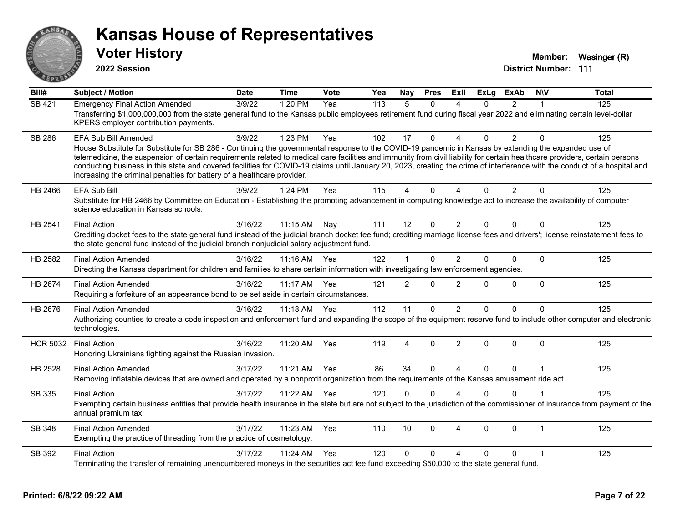

**2022 Session**

**Voter History Member:** Wasinger (R)

| Bill#           | <b>Subject / Motion</b>                                                                                                                                                                                                                                                                                                                                                                                                                                                                                                                                                                                               | <b>Date</b> | <b>Time</b>  | <b>Vote</b> | Yea | <b>Nay</b>     | <b>Pres</b>  | Exll                   | <b>ExLg</b>  | <b>ExAb</b>    | <b>NIV</b>   | <b>Total</b> |
|-----------------|-----------------------------------------------------------------------------------------------------------------------------------------------------------------------------------------------------------------------------------------------------------------------------------------------------------------------------------------------------------------------------------------------------------------------------------------------------------------------------------------------------------------------------------------------------------------------------------------------------------------------|-------------|--------------|-------------|-----|----------------|--------------|------------------------|--------------|----------------|--------------|--------------|
| SB 421          | <b>Emergency Final Action Amended</b><br>Transferring \$1,000,000,000 from the state general fund to the Kansas public employees retirement fund during fiscal year 2022 and eliminating certain level-dollar<br>KPERS employer contribution payments.                                                                                                                                                                                                                                                                                                                                                                | 3/9/22      | 1:20 PM      | Yea         | 113 | 5              | $\Omega$     | 4                      | $\Omega$     | $\overline{2}$ | 1            | 125          |
| <b>SB 286</b>   | EFA Sub Bill Amended<br>House Substitute for Substitute for SB 286 - Continuing the governmental response to the COVID-19 pandemic in Kansas by extending the expanded use of<br>telemedicine, the suspension of certain requirements related to medical care facilities and immunity from civil liability for certain healthcare providers, certain persons<br>conducting business in this state and covered facilities for COVID-19 claims until January 20, 2023, creating the crime of interference with the conduct of a hospital and<br>increasing the criminal penalties for battery of a healthcare provider. | 3/9/22      | 1:23 PM      | Yea         | 102 | 17             | $\Omega$     | $\Delta$               | $\Omega$     | $\overline{2}$ | $\Omega$     | 125          |
| HB 2466         | <b>EFA Sub Bill</b><br>Substitute for HB 2466 by Committee on Education - Establishing the promoting advancement in computing knowledge act to increase the availability of computer<br>science education in Kansas schools.                                                                                                                                                                                                                                                                                                                                                                                          | 3/9/22      | $1:24$ PM    | Yea         | 115 | $\Delta$       | $\Omega$     | $\lambda$              | $\Omega$     | $\overline{2}$ | $\Omega$     | 125          |
| HB 2541         | <b>Final Action</b><br>Crediting docket fees to the state general fund instead of the judicial branch docket fee fund; crediting marriage license fees and drivers'; license reinstatement fees to<br>the state general fund instead of the judicial branch nonjudicial salary adjustment fund.                                                                                                                                                                                                                                                                                                                       | 3/16/22     | 11:15 AM     | Nay         | 111 | 12             | 0            | $\overline{2}$         | $\mathbf{0}$ | $\Omega$       | $\Omega$     | 125          |
| HB 2582         | <b>Final Action Amended</b><br>Directing the Kansas department for children and families to share certain information with investigating law enforcement agencies.                                                                                                                                                                                                                                                                                                                                                                                                                                                    | 3/16/22     | 11:16 AM     | Yea         | 122 | 1              | 0            | $\overline{2}$         | $\Omega$     | $\Omega$       | $\Omega$     | 125          |
| HB 2674         | <b>Final Action Amended</b><br>Requiring a forfeiture of an appearance bond to be set aside in certain circumstances.                                                                                                                                                                                                                                                                                                                                                                                                                                                                                                 | 3/16/22     | 11:17 AM     | Yea         | 121 | $\overline{2}$ | $\mathbf 0$  | $\overline{2}$         | $\Omega$     | 0              | $\mathbf{0}$ | 125          |
| HB 2676         | <b>Final Action Amended</b><br>Authorizing counties to create a code inspection and enforcement fund and expanding the scope of the equipment reserve fund to include other computer and electronic<br>technologies.                                                                                                                                                                                                                                                                                                                                                                                                  | 3/16/22     | 11:18 AM Yea |             | 112 | 11             | $\Omega$     | $\overline{2}$         | $\Omega$     | 0              | $\Omega$     | 125          |
| <b>HCR 5032</b> | <b>Final Action</b><br>Honoring Ukrainians fighting against the Russian invasion.                                                                                                                                                                                                                                                                                                                                                                                                                                                                                                                                     | 3/16/22     | 11:20 AM     | Yea         | 119 | 4              | 0            | $\overline{2}$         | $\Omega$     | $\Omega$       | $\Omega$     | 125          |
| HB 2528         | <b>Final Action Amended</b><br>Removing inflatable devices that are owned and operated by a nonprofit organization from the requirements of the Kansas amusement ride act.                                                                                                                                                                                                                                                                                                                                                                                                                                            | 3/17/22     | 11:21 AM     | Yea         | 86  | 34             | $\mathbf{0}$ | $\boldsymbol{\Lambda}$ | $\Omega$     | $\Omega$       | $\mathbf 1$  | 125          |
| SB 335          | <b>Final Action</b><br>Exempting certain business entities that provide health insurance in the state but are not subject to the jurisdiction of the commissioner of insurance from payment of the<br>annual premium tax.                                                                                                                                                                                                                                                                                                                                                                                             | 3/17/22     | 11:22 AM     | Yea         | 120 | $\Omega$       | $\mathbf{0}$ | $\boldsymbol{\Lambda}$ | $\Omega$     | $\mathbf 0$    |              | 125          |
| SB 348          | <b>Final Action Amended</b><br>Exempting the practice of threading from the practice of cosmetology.                                                                                                                                                                                                                                                                                                                                                                                                                                                                                                                  | 3/17/22     | 11:23 AM     | Yea         | 110 | 10             | $\Omega$     | $\boldsymbol{\Lambda}$ | $\Omega$     | $\Omega$       | $\mathbf 1$  | 125          |
| SB 392          | <b>Final Action</b><br>Terminating the transfer of remaining unencumbered moneys in the securities act fee fund exceeding \$50,000 to the state general fund.                                                                                                                                                                                                                                                                                                                                                                                                                                                         | 3/17/22     | 11:24 AM     | Yea         | 120 | $\Omega$       | $\Omega$     | Δ                      | $\Omega$     | 0              | 1            | 125          |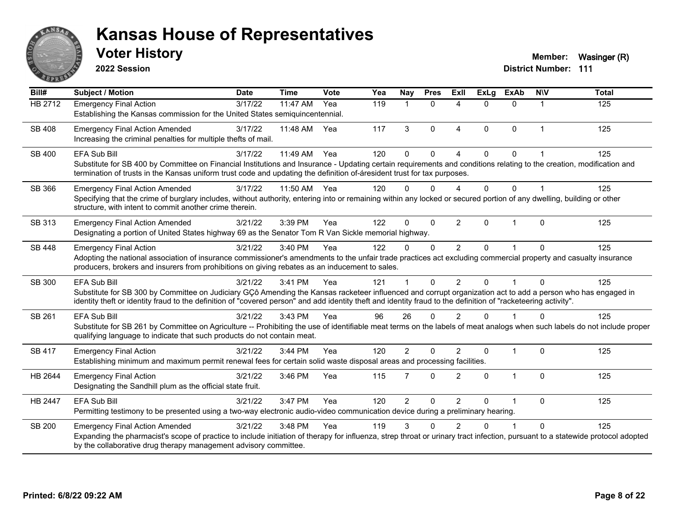

**2022 Session**

**Voter History Member:** Wasinger (R)

| Bill#          | <b>Subject / Motion</b>                                                                                                                                                                                                                                                                                                        | <b>Date</b> | <b>Time</b> | <b>Vote</b> | Yea | Nay            | <b>Pres</b>    | <b>Exll</b>              | <b>ExLg</b> | <b>ExAb</b>    | <b>NIV</b>     | <b>Total</b> |
|----------------|--------------------------------------------------------------------------------------------------------------------------------------------------------------------------------------------------------------------------------------------------------------------------------------------------------------------------------|-------------|-------------|-------------|-----|----------------|----------------|--------------------------|-------------|----------------|----------------|--------------|
| <b>HB 2712</b> | <b>Emergency Final Action</b>                                                                                                                                                                                                                                                                                                  | 3/17/22     | 11:47 AM    | Yea         | 119 |                | $\Omega$       | $\boldsymbol{\varDelta}$ | $\Omega$    | $\Omega$       | 1              | 125          |
|                | Establishing the Kansas commission for the United States semiquincentennial.                                                                                                                                                                                                                                                   |             |             |             |     |                |                |                          |             |                |                |              |
| <b>SB 408</b>  | <b>Emergency Final Action Amended</b>                                                                                                                                                                                                                                                                                          | 3/17/22     | 11:48 AM    | Yea         | 117 | 3              | $\Omega$       | $\overline{4}$           | $\Omega$    | $\mathbf{0}$   | $\mathbf{1}$   | 125          |
|                | Increasing the criminal penalties for multiple thefts of mail.                                                                                                                                                                                                                                                                 |             |             |             |     |                |                |                          |             |                |                |              |
| SB 400         | <b>EFA Sub Bill</b>                                                                                                                                                                                                                                                                                                            | 3/17/22     | 11:49 AM    | Yea         | 120 | 0              | $\Omega$       | $\Lambda$                | $\Omega$    | $\Omega$       |                | 125          |
|                | Substitute for SB 400 by Committee on Financial Institutions and Insurance - Updating certain requirements and conditions relating to the creation, modification and                                                                                                                                                           |             |             |             |     |                |                |                          |             |                |                |              |
|                | termination of trusts in the Kansas uniform trust code and updating the definition of-áresident trust for tax purposes.                                                                                                                                                                                                        |             |             |             |     |                |                |                          |             |                |                |              |
| SB 366         | <b>Emergency Final Action Amended</b>                                                                                                                                                                                                                                                                                          | 3/17/22     | 11:50 AM    | Yea         | 120 | 0              | $\Omega$       | $\boldsymbol{\Lambda}$   | $\Omega$    | $\Omega$       | $\overline{1}$ | 125          |
|                | Specifying that the crime of burglary includes, without authority, entering into or remaining within any locked or secured portion of any dwelling, building or other                                                                                                                                                          |             |             |             |     |                |                |                          |             |                |                |              |
|                | structure, with intent to commit another crime therein.                                                                                                                                                                                                                                                                        |             |             |             |     |                |                |                          |             |                |                |              |
| SB 313         | <b>Emergency Final Action Amended</b>                                                                                                                                                                                                                                                                                          | 3/21/22     | 3:39 PM     | Yea         | 122 | 0              | $\mathbf 0$    | $\overline{2}$           | $\Omega$    | 1              | $\mathbf{0}$   | 125          |
|                | Designating a portion of United States highway 69 as the Senator Tom R Van Sickle memorial highway.                                                                                                                                                                                                                            |             |             |             |     |                |                |                          |             |                |                |              |
| SB 448         | <b>Emergency Final Action</b>                                                                                                                                                                                                                                                                                                  | 3/21/22     | 3:40 PM     | Yea         | 122 | 0              | $\Omega$       | $\overline{2}$           | $\Omega$    |                | $\Omega$       | 125          |
|                | Adopting the national association of insurance commissioner's amendments to the unfair trade practices act excluding commercial property and casualty insurance                                                                                                                                                                |             |             |             |     |                |                |                          |             |                |                |              |
|                | producers, brokers and insurers from prohibitions on giving rebates as an inducement to sales.                                                                                                                                                                                                                                 |             |             |             |     |                |                |                          |             |                |                |              |
| SB 300         | <b>EFA Sub Bill</b>                                                                                                                                                                                                                                                                                                            | 3/21/22     | 3:41 PM     | Yea         | 121 |                | $\Omega$       | $\mathfrak{p}$           | $\Omega$    |                | $\Omega$       | 125          |
|                | Substitute for SB 300 by Committee on Judiciary GÇô Amending the Kansas racketeer influenced and corrupt organization act to add a person who has engaged in<br>identity theft or identity fraud to the definition of "covered person" and add identity theft and identity fraud to the definition of "racketeering activity". |             |             |             |     |                |                |                          |             |                |                |              |
|                |                                                                                                                                                                                                                                                                                                                                |             |             |             |     |                |                |                          |             |                |                |              |
| SB 261         | <b>EFA Sub Bill</b>                                                                                                                                                                                                                                                                                                            | 3/21/22     | 3:43 PM     | Yea         | 96  | 26             | $\Omega$       | 2                        | $\Omega$    |                | $\Omega$       | 125          |
|                | Substitute for SB 261 by Committee on Agriculture -- Prohibiting the use of identifiable meat terms on the labels of meat analogs when such labels do not include proper<br>qualifying language to indicate that such products do not contain meat.                                                                            |             |             |             |     |                |                |                          |             |                |                |              |
|                |                                                                                                                                                                                                                                                                                                                                |             |             |             |     |                |                |                          |             |                |                |              |
| SB 417         | <b>Emergency Final Action</b><br>Establishing minimum and maximum permit renewal fees for certain solid waste disposal areas and processing facilities.                                                                                                                                                                        | 3/21/22     | 3:44 PM     | Yea         | 120 | $\overline{2}$ | $\Omega$       | $\overline{2}$           | $\Omega$    | $\overline{1}$ | $\mathbf 0$    | 125          |
|                |                                                                                                                                                                                                                                                                                                                                |             |             |             |     |                |                |                          |             |                |                |              |
| HB 2644        | <b>Emergency Final Action</b>                                                                                                                                                                                                                                                                                                  | 3/21/22     | 3:46 PM     | Yea         | 115 | 7              | $\Omega$       | 2                        | $\Omega$    | $\mathbf{1}$   | $\Omega$       | 125          |
|                | Designating the Sandhill plum as the official state fruit.                                                                                                                                                                                                                                                                     |             |             |             |     |                |                |                          |             |                |                |              |
| HB 2447        | <b>EFA Sub Bill</b>                                                                                                                                                                                                                                                                                                            | 3/21/22     | 3:47 PM     | Yea         | 120 | $\overline{2}$ | $\overline{0}$ | $\overline{2}$           | 0           |                | $\Omega$       | 125          |
|                | Permitting testimony to be presented using a two-way electronic audio-video communication device during a preliminary hearing.                                                                                                                                                                                                 |             |             |             |     |                |                |                          |             |                |                |              |
| <b>SB 200</b>  | <b>Emergency Final Action Amended</b>                                                                                                                                                                                                                                                                                          | 3/21/22     | 3:48 PM     | Yea         | 119 | 3              | ∩              | 2                        | U           |                | $\Omega$       | 125          |
|                | Expanding the pharmacist's scope of practice to include initiation of therapy for influenza, strep throat or urinary tract infection, pursuant to a statewide protocol adopted                                                                                                                                                 |             |             |             |     |                |                |                          |             |                |                |              |
|                | by the collaborative drug therapy management advisory committee.                                                                                                                                                                                                                                                               |             |             |             |     |                |                |                          |             |                |                |              |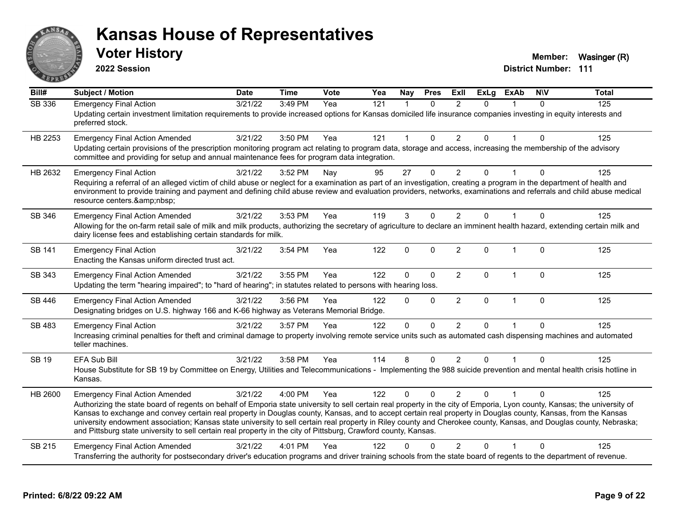

**2022 Session**

| Bill#         | <b>Subject / Motion</b>                                                                                                                                                                                                                                                                                                                                                                                                                                                                                                                                                                                                                                                      | <b>Date</b> | <b>Time</b> | <b>Vote</b> | Yea | <b>Nay</b>   | <b>Pres</b>  | <b>ExII</b>    | <b>ExLg</b> | <b>ExAb</b>    | <b>NIV</b>   | <b>Total</b> |
|---------------|------------------------------------------------------------------------------------------------------------------------------------------------------------------------------------------------------------------------------------------------------------------------------------------------------------------------------------------------------------------------------------------------------------------------------------------------------------------------------------------------------------------------------------------------------------------------------------------------------------------------------------------------------------------------------|-------------|-------------|-------------|-----|--------------|--------------|----------------|-------------|----------------|--------------|--------------|
| <b>SB 336</b> | <b>Emergency Final Action</b><br>Updating certain investment limitation requirements to provide increased options for Kansas domiciled life insurance companies investing in equity interests and<br>preferred stock.                                                                                                                                                                                                                                                                                                                                                                                                                                                        | 3/21/22     | 3:49 PM     | Yea         | 121 | $\mathbf{1}$ | $\Omega$     | $\mathfrak{p}$ | $\Omega$    |                | $\Omega$     | 125          |
| HB 2253       | <b>Emergency Final Action Amended</b><br>Updating certain provisions of the prescription monitoring program act relating to program data, storage and access, increasing the membership of the advisory<br>committee and providing for setup and annual maintenance fees for program data integration.                                                                                                                                                                                                                                                                                                                                                                       | 3/21/22     | 3:50 PM     | Yea         | 121 | $\mathbf{1}$ | $\mathbf{0}$ | $\overline{2}$ | $\Omega$    |                | $\mathbf{0}$ | 125          |
| HB 2632       | <b>Emergency Final Action</b><br>Requiring a referral of an alleged victim of child abuse or neglect for a examination as part of an investigation, creating a program in the department of health and<br>environment to provide training and payment and defining child abuse review and evaluation providers, networks, examinations and referrals and child abuse medical<br>resource centers.                                                                                                                                                                                                                                                                            | 3/21/22     | 3:52 PM     | Nay         | 95  | 27           | $\mathbf{0}$ | $\overline{2}$ | 0           |                | $\Omega$     | 125          |
| SB 346        | <b>Emergency Final Action Amended</b><br>Allowing for the on-farm retail sale of milk and milk products, authorizing the secretary of agriculture to declare an imminent health hazard, extending certain milk and<br>dairy license fees and establishing certain standards for milk.                                                                                                                                                                                                                                                                                                                                                                                        | 3/21/22     | 3:53 PM     | Yea         | 119 | 3            | $\mathbf{0}$ | 2              | $\Omega$    |                | $\Omega$     | 125          |
| SB 141        | <b>Emergency Final Action</b><br>Enacting the Kansas uniform directed trust act.                                                                                                                                                                                                                                                                                                                                                                                                                                                                                                                                                                                             | 3/21/22     | 3:54 PM     | Yea         | 122 | $\mathbf 0$  | $\mathbf 0$  | $\overline{2}$ | 0           | $\overline{1}$ | $\mathbf 0$  | 125          |
| SB 343        | <b>Emergency Final Action Amended</b><br>Updating the term "hearing impaired"; to "hard of hearing"; in statutes related to persons with hearing loss.                                                                                                                                                                                                                                                                                                                                                                                                                                                                                                                       | 3/21/22     | 3:55 PM     | Yea         | 122 | $\mathbf 0$  | $\mathbf 0$  | $\overline{2}$ | 0           | $\overline{1}$ | $\mathbf 0$  | 125          |
| SB 446        | <b>Emergency Final Action Amended</b><br>Designating bridges on U.S. highway 166 and K-66 highway as Veterans Memorial Bridge.                                                                                                                                                                                                                                                                                                                                                                                                                                                                                                                                               | 3/21/22     | 3:56 PM     | Yea         | 122 | $\Omega$     | $\mathbf 0$  | $\overline{2}$ | 0           | $\mathbf{1}$   | $\mathbf 0$  | 125          |
| SB 483        | <b>Emergency Final Action</b><br>Increasing criminal penalties for theft and criminal damage to property involving remote service units such as automated cash dispensing machines and automated<br>teller machines.                                                                                                                                                                                                                                                                                                                                                                                                                                                         | 3/21/22     | 3:57 PM     | Yea         | 122 | $\mathbf{0}$ | $\Omega$     | $\overline{2}$ | 0           |                | $\Omega$     | 125          |
| <b>SB 19</b>  | EFA Sub Bill<br>House Substitute for SB 19 by Committee on Energy, Utilities and Telecommunications - Implementing the 988 suicide prevention and mental health crisis hotline in<br>Kansas.                                                                                                                                                                                                                                                                                                                                                                                                                                                                                 | 3/21/22     | 3:58 PM     | Yea         | 114 | 8            | $\mathbf{0}$ | 2              | $\Omega$    |                | $\Omega$     | 125          |
| HB 2600       | <b>Emergency Final Action Amended</b><br>Authorizing the state board of regents on behalf of Emporia state university to sell certain real property in the city of Emporia, Lyon county, Kansas; the university of<br>Kansas to exchange and convey certain real property in Douglas county, Kansas, and to accept certain real property in Douglas county, Kansas, from the Kansas<br>university endowment association; Kansas state university to sell certain real property in Riley county and Cherokee county, Kansas, and Douglas county, Nebraska;<br>and Pittsburg state university to sell certain real property in the city of Pittsburg, Crawford county, Kansas. | 3/21/22     | 4:00 PM     | Yea         | 122 | $\Omega$     | $\Omega$     | 2              | $\Omega$    |                | $\Omega$     | 125          |
| SB 215        | <b>Emergency Final Action Amended</b><br>Transferring the authority for postsecondary driver's education programs and driver training schools from the state board of regents to the department of revenue.                                                                                                                                                                                                                                                                                                                                                                                                                                                                  | 3/21/22     | 4:01 PM     | Yea         | 122 |              |              | $\overline{2}$ | 0           |                | $\Omega$     | 125          |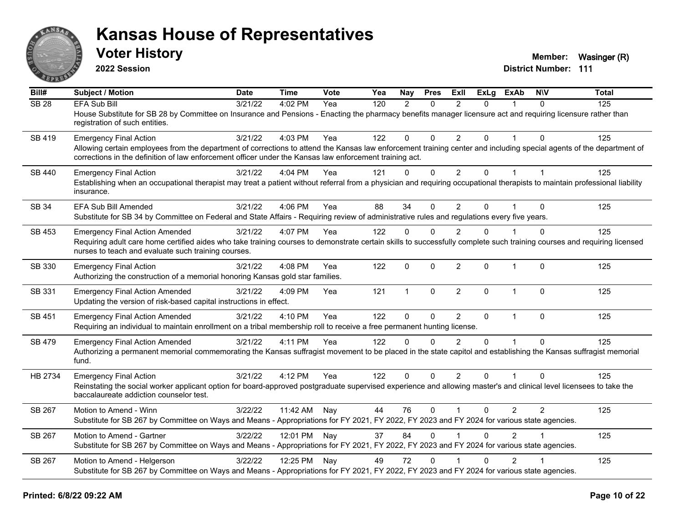

**2022 Session**

**Voter History Member:** Wasinger (R)

| Bill#            | <b>Subject / Motion</b>                                                                                                                                                                                                                                                                                          | Date    | <b>Time</b>  | <b>Vote</b> | Yea | Nay          | <b>Pres</b>  | ExII           | ExLg         | <b>ExAb</b>    | <b>NIV</b>     | <b>Total</b> |
|------------------|------------------------------------------------------------------------------------------------------------------------------------------------------------------------------------------------------------------------------------------------------------------------------------------------------------------|---------|--------------|-------------|-----|--------------|--------------|----------------|--------------|----------------|----------------|--------------|
| SB <sub>28</sub> | <b>EFA Sub Bill</b><br>House Substitute for SB 28 by Committee on Insurance and Pensions - Enacting the pharmacy benefits manager licensure act and requiring licensure rather than<br>registration of such entities.                                                                                            | 3/21/22 | 4:02 PM      | Yea         | 120 | 2            | $\Omega$     | $\mathfrak{p}$ | $\Omega$     |                | $\Omega$       | 125          |
| SB 419           | <b>Emergency Final Action</b><br>Allowing certain employees from the department of corrections to attend the Kansas law enforcement training center and including special agents of the department of<br>corrections in the definition of law enforcement officer under the Kansas law enforcement training act. | 3/21/22 | 4:03 PM      | Yea         | 122 | $\mathbf 0$  | $\Omega$     | $\overline{2}$ | $\Omega$     |                | $\Omega$       | 125          |
| SB 440           | <b>Emergency Final Action</b><br>Establishing when an occupational therapist may treat a patient without referral from a physician and requiring occupational therapists to maintain professional liability<br>insurance.                                                                                        | 3/21/22 | 4:04 PM      | Yea         | 121 | $\mathbf 0$  | 0            | $\overline{2}$ | $\Omega$     | $\mathbf 1$    |                | 125          |
| SB 34            | EFA Sub Bill Amended<br>Substitute for SB 34 by Committee on Federal and State Affairs - Requiring review of administrative rules and regulations every five years.                                                                                                                                              | 3/21/22 | 4:06 PM      | Yea         | 88  | 34           | $\Omega$     | 2              | 0            |                | $\Omega$       | 125          |
| SB 453           | <b>Emergency Final Action Amended</b><br>Requiring adult care home certified aides who take training courses to demonstrate certain skills to successfully complete such training courses and requiring licensed<br>nurses to teach and evaluate such training courses.                                          | 3/21/22 | 4:07 PM      | Yea         | 122 | $\mathbf 0$  | $\Omega$     | 2              | $\Omega$     |                | $\Omega$       | 125          |
| SB 330           | <b>Emergency Final Action</b><br>Authorizing the construction of a memorial honoring Kansas gold star families.                                                                                                                                                                                                  | 3/21/22 | 4:08 PM      | Yea         | 122 | $\mathbf 0$  | $\mathbf 0$  | $\overline{2}$ | 0            | 1              | $\mathbf 0$    | 125          |
| SB 331           | <b>Emergency Final Action Amended</b><br>Updating the version of risk-based capital instructions in effect.                                                                                                                                                                                                      | 3/21/22 | 4:09 PM      | Yea         | 121 | $\mathbf{1}$ | $\mathbf{0}$ | $\overline{2}$ | $\Omega$     | $\overline{1}$ | $\Omega$       | 125          |
| SB 451           | <b>Emergency Final Action Amended</b><br>Requiring an individual to maintain enrollment on a tribal membership roll to receive a free permanent hunting license.                                                                                                                                                 | 3/21/22 | 4:10 PM      | Yea         | 122 | $\mathbf{0}$ | $\Omega$     | 2              | $\mathbf{0}$ | $\overline{1}$ | $\Omega$       | 125          |
| SB 479           | <b>Emergency Final Action Amended</b><br>Authorizing a permanent memorial commemorating the Kansas suffragist movement to be placed in the state capitol and establishing the Kansas suffragist memorial<br>fund.                                                                                                | 3/21/22 | 4:11 PM      | Yea         | 122 | $\Omega$     | $\Omega$     | $\mathfrak{p}$ | $\Omega$     | $\overline{1}$ | $\Omega$       | 125          |
| HB 2734          | <b>Emergency Final Action</b><br>Reinstating the social worker applicant option for board-approved postgraduate supervised experience and allowing master's and clinical level licensees to take the<br>baccalaureate addiction counselor test.                                                                  | 3/21/22 | 4:12 PM      | Yea         | 122 | $\Omega$     | $\Omega$     | $\overline{2}$ | $\Omega$     |                | $\Omega$       | 125          |
| SB 267           | Motion to Amend - Winn<br>Substitute for SB 267 by Committee on Ways and Means - Appropriations for FY 2021, FY 2022, FY 2023 and FY 2024 for various state agencies.                                                                                                                                            | 3/22/22 | 11:42 AM Nay |             | 44  | 76           | 0            | $\mathbf{1}$   | 0            | $\overline{2}$ | $\overline{2}$ | 125          |
| <b>SB 267</b>    | Motion to Amend - Gartner<br>Substitute for SB 267 by Committee on Ways and Means - Appropriations for FY 2021, FY 2022, FY 2023 and FY 2024 for various state agencies.                                                                                                                                         | 3/22/22 | 12:01 PM Nay |             | 37  | 84           | $\Omega$     |                | $\Omega$     | $\mathcal{P}$  |                | 125          |
| SB 267           | Motion to Amend - Helgerson<br>Substitute for SB 267 by Committee on Ways and Means - Appropriations for FY 2021, FY 2022, FY 2023 and FY 2024 for various state agencies.                                                                                                                                       | 3/22/22 | 12:25 PM Nay |             | 49  | 72           | $\Omega$     |                | 0            | $\overline{2}$ |                | 125          |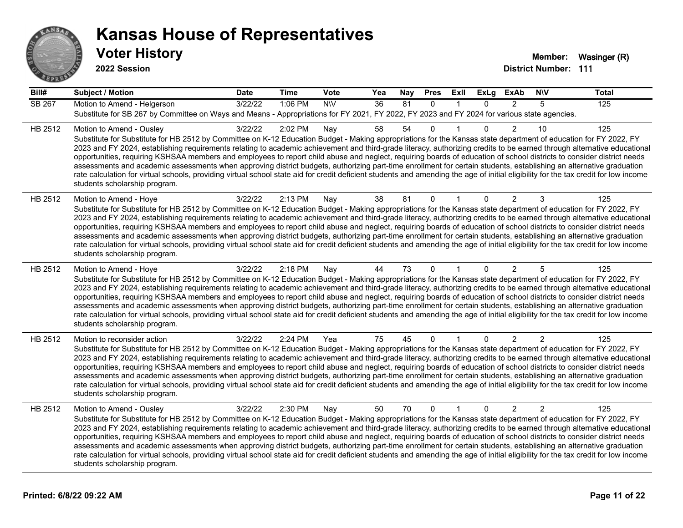

**2022 Session**

| Bill#   | <b>Subject / Motion</b>                                                                                                                                                                                                                                                                                                                                                                                                                                                                                                                                                                                                                                                                                                                                                                                                                                                                                                                             | <b>Date</b> | <b>Time</b> | Vote       | Yea | Nay | <b>Pres</b>  | ExII         | <b>ExLg</b>  | <b>ExAb</b>    | <b>NIV</b>     | <b>Total</b> |
|---------|-----------------------------------------------------------------------------------------------------------------------------------------------------------------------------------------------------------------------------------------------------------------------------------------------------------------------------------------------------------------------------------------------------------------------------------------------------------------------------------------------------------------------------------------------------------------------------------------------------------------------------------------------------------------------------------------------------------------------------------------------------------------------------------------------------------------------------------------------------------------------------------------------------------------------------------------------------|-------------|-------------|------------|-----|-----|--------------|--------------|--------------|----------------|----------------|--------------|
| SB 267  | Motion to Amend - Helgerson<br>Substitute for SB 267 by Committee on Ways and Means - Appropriations for FY 2021, FY 2022, FY 2023 and FY 2024 for various state agencies.                                                                                                                                                                                                                                                                                                                                                                                                                                                                                                                                                                                                                                                                                                                                                                          | 3/22/22     | 1:06 PM     | <b>NIV</b> | 36  | 81  | $\Omega$     | 1            | $\Omega$     | $\overline{2}$ | 5              | 125          |
| HB 2512 | Motion to Amend - Ousley<br>Substitute for Substitute for HB 2512 by Committee on K-12 Education Budget - Making appropriations for the Kansas state department of education for FY 2022, FY<br>2023 and FY 2024, establishing requirements relating to academic achievement and third-grade literacy, authorizing credits to be earned through alternative educational<br>opportunities, requiring KSHSAA members and employees to report child abuse and neglect, requiring boards of education of school districts to consider district needs<br>assessments and academic assessments when approving district budgets, authorizing part-time enrollment for certain students, establishing an alternative graduation<br>rate calculation for virtual schools, providing virtual school state aid for credit deficient students and amending the age of initial eligibility for the tax credit for low income<br>students scholarship program.    | 3/22/22     | 2:02 PM     | Nay        | 58  | 54  | 0            |              | $\Omega$     | $\overline{2}$ | 10             | 125          |
| HB 2512 | Motion to Amend - Hoye<br>Substitute for Substitute for HB 2512 by Committee on K-12 Education Budget - Making appropriations for the Kansas state department of education for FY 2022, FY<br>2023 and FY 2024, establishing requirements relating to academic achievement and third-grade literacy, authorizing credits to be earned through alternative educational<br>opportunities, requiring KSHSAA members and employees to report child abuse and neglect, requiring boards of education of school districts to consider district needs<br>assessments and academic assessments when approving district budgets, authorizing part-time enrollment for certain students, establishing an alternative graduation<br>rate calculation for virtual schools, providing virtual school state aid for credit deficient students and amending the age of initial eligibility for the tax credit for low income<br>students scholarship program.      | 3/22/22     | 2:13 PM     | Nay        | 38  | 81  | $\Omega$     |              | $\Omega$     | $\overline{2}$ | 3              | 125          |
| HB 2512 | Motion to Amend - Hoye<br>Substitute for Substitute for HB 2512 by Committee on K-12 Education Budget - Making appropriations for the Kansas state department of education for FY 2022, FY<br>2023 and FY 2024, establishing requirements relating to academic achievement and third-grade literacy, authorizing credits to be earned through alternative educational<br>opportunities, requiring KSHSAA members and employees to report child abuse and neglect, requiring boards of education of school districts to consider district needs<br>assessments and academic assessments when approving district budgets, authorizing part-time enrollment for certain students, establishing an alternative graduation<br>rate calculation for virtual schools, providing virtual school state aid for credit deficient students and amending the age of initial eligibility for the tax credit for low income<br>students scholarship program.      | 3/22/22     | 2:18 PM     | Nay        | 44  | 73  | $\Omega$     |              | $\Omega$     | $\overline{2}$ | 5              | 125          |
| HB 2512 | Motion to reconsider action<br>Substitute for Substitute for HB 2512 by Committee on K-12 Education Budget - Making appropriations for the Kansas state department of education for FY 2022, FY<br>2023 and FY 2024, establishing requirements relating to academic achievement and third-grade literacy, authorizing credits to be earned through alternative educational<br>opportunities, requiring KSHSAA members and employees to report child abuse and neglect, requiring boards of education of school districts to consider district needs<br>assessments and academic assessments when approving district budgets, authorizing part-time enrollment for certain students, establishing an alternative graduation<br>rate calculation for virtual schools, providing virtual school state aid for credit deficient students and amending the age of initial eligibility for the tax credit for low income<br>students scholarship program. | 3/22/22     | 2:24 PM     | Yea        | 75  | 45  | 0            |              | $\mathbf{0}$ | $\overline{2}$ | 2              | 125          |
| HB 2512 | Motion to Amend - Ousley<br>Substitute for Substitute for HB 2512 by Committee on K-12 Education Budget - Making appropriations for the Kansas state department of education for FY 2022, FY<br>2023 and FY 2024, establishing requirements relating to academic achievement and third-grade literacy, authorizing credits to be earned through alternative educational<br>opportunities, requiring KSHSAA members and employees to report child abuse and neglect, requiring boards of education of school districts to consider district needs<br>assessments and academic assessments when approving district budgets, authorizing part-time enrollment for certain students, establishing an alternative graduation<br>rate calculation for virtual schools, providing virtual school state aid for credit deficient students and amending the age of initial eligibility for the tax credit for low income<br>students scholarship program.    | 3/22/22     | 2:30 PM     | Nay        | 50  | 70  | $\mathbf{0}$ | $\mathbf{1}$ | $\Omega$     | $\overline{2}$ | $\overline{2}$ | 125          |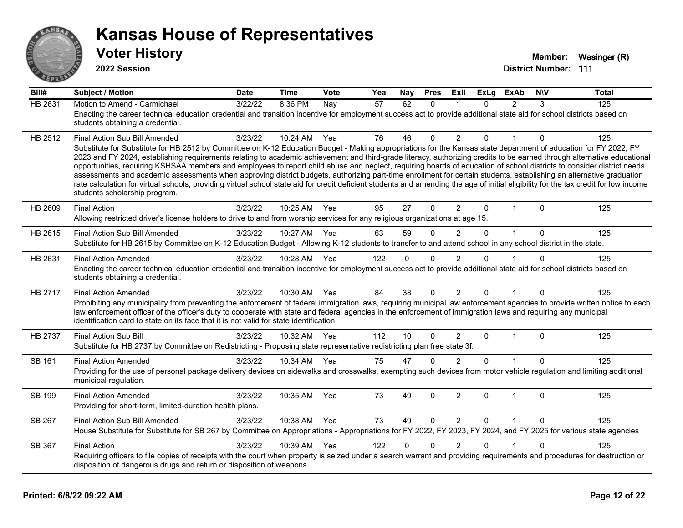

**2022 Session**

| Bill#          | <b>Subject / Motion</b>                                                                                                                                                                                                                                                                                                                                                                                                                                                                                                                                                                                                                                                                                                                                                                                                                                                                                                                               | <b>Date</b> | <b>Time</b>  | Vote | Yea | Nay      | <b>Pres</b> | ExII           | <b>ExLg</b>  | <b>ExAb</b>    | <b>NIV</b>   | <b>Total</b> |
|----------------|-------------------------------------------------------------------------------------------------------------------------------------------------------------------------------------------------------------------------------------------------------------------------------------------------------------------------------------------------------------------------------------------------------------------------------------------------------------------------------------------------------------------------------------------------------------------------------------------------------------------------------------------------------------------------------------------------------------------------------------------------------------------------------------------------------------------------------------------------------------------------------------------------------------------------------------------------------|-------------|--------------|------|-----|----------|-------------|----------------|--------------|----------------|--------------|--------------|
| <b>HB 2631</b> | Motion to Amend - Carmichael<br>Enacting the career technical education credential and transition incentive for employment success act to provide additional state aid for school districts based on<br>students obtaining a credential.                                                                                                                                                                                                                                                                                                                                                                                                                                                                                                                                                                                                                                                                                                              | 3/22/22     | 8:36 PM      | Nay  | 57  | 62       | $\Omega$    |                | $\Omega$     | $\mathfrak{p}$ | 3            | 125          |
| HB 2512        | Final Action Sub Bill Amended<br>Substitute for Substitute for HB 2512 by Committee on K-12 Education Budget - Making appropriations for the Kansas state department of education for FY 2022, FY<br>2023 and FY 2024, establishing requirements relating to academic achievement and third-grade literacy, authorizing credits to be earned through alternative educational<br>opportunities, requiring KSHSAA members and employees to report child abuse and neglect, requiring boards of education of school districts to consider district needs<br>assessments and academic assessments when approving district budgets, authorizing part-time enrollment for certain students, establishing an alternative graduation<br>rate calculation for virtual schools, providing virtual school state aid for credit deficient students and amending the age of initial eligibility for the tax credit for low income<br>students scholarship program. | 3/23/22     | 10:24 AM     | Yea  | 76  | 46       | $\Omega$    | 2              | 0            |                | 0            | 125          |
| HB 2609        | <b>Final Action</b><br>Allowing restricted driver's license holders to drive to and from worship services for any religious organizations at age 15.                                                                                                                                                                                                                                                                                                                                                                                                                                                                                                                                                                                                                                                                                                                                                                                                  | 3/23/22     | 10:25 AM Yea |      | 95  | 27       | $\Omega$    | $\overline{2}$ | $\mathbf{0}$ | $\mathbf{1}$   | $\mathbf{0}$ | 125          |
| HB 2615        | Final Action Sub Bill Amended<br>Substitute for HB 2615 by Committee on K-12 Education Budget - Allowing K-12 students to transfer to and attend school in any school district in the state.                                                                                                                                                                                                                                                                                                                                                                                                                                                                                                                                                                                                                                                                                                                                                          | 3/23/22     | 10:27 AM     | Yea  | 63  | 59       | $\Omega$    | 2              | $\Omega$     | $\mathbf{1}$   | $\mathbf{0}$ | 125          |
| HB 2631        | <b>Final Action Amended</b><br>Enacting the career technical education credential and transition incentive for employment success act to provide additional state aid for school districts based on<br>students obtaining a credential.                                                                                                                                                                                                                                                                                                                                                                                                                                                                                                                                                                                                                                                                                                               | 3/23/22     | 10:28 AM     | Yea  | 122 | $\Omega$ | $\Omega$    | 2              | 0            |                | $\Omega$     | 125          |
| HB 2717        | <b>Final Action Amended</b><br>Prohibiting any municipality from preventing the enforcement of federal immigration laws, requiring municipal law enforcement agencies to provide written notice to each<br>law enforcement officer of the officer's duty to cooperate with state and federal agencies in the enforcement of immigration laws and requiring any municipal<br>identification card to state on its face that it is not valid for state identification.                                                                                                                                                                                                                                                                                                                                                                                                                                                                                   | 3/23/22     | 10:30 AM     | Yea  | 84  | 38       | $\Omega$    | 2              | $\Omega$     | 1              | $\Omega$     | 125          |
| <b>HB 2737</b> | <b>Final Action Sub Bill</b><br>Substitute for HB 2737 by Committee on Redistricting - Proposing state representative redistricting plan free state 3f.                                                                                                                                                                                                                                                                                                                                                                                                                                                                                                                                                                                                                                                                                                                                                                                               | 3/23/22     | 10:32 AM     | Yea  | 112 | 10       | $\Omega$    | $\overline{2}$ | $\Omega$     | 1              | $\mathbf{0}$ | 125          |
| <b>SB 161</b>  | <b>Final Action Amended</b><br>Providing for the use of personal package delivery devices on sidewalks and crosswalks, exempting such devices from motor vehicle regulation and limiting additional<br>municipal regulation.                                                                                                                                                                                                                                                                                                                                                                                                                                                                                                                                                                                                                                                                                                                          | 3/23/22     | 10:34 AM     | Yea  | 75  | 47       | $\Omega$    | $\mathfrak{p}$ | 0            |                | $\Omega$     | 125          |
| <b>SB 199</b>  | <b>Final Action Amended</b><br>Providing for short-term, limited-duration health plans.                                                                                                                                                                                                                                                                                                                                                                                                                                                                                                                                                                                                                                                                                                                                                                                                                                                               | 3/23/22     | 10:35 AM     | Yea  | 73  | 49       | $\Omega$    | $\overline{2}$ | $\Omega$     | $\mathbf{1}$   | $\mathbf{0}$ | 125          |
| SB 267         | Final Action Sub Bill Amended<br>House Substitute for Substitute for SB 267 by Committee on Appropriations - Appropriations for FY 2022, FY 2023, FY 2024, and FY 2025 for various state agencies                                                                                                                                                                                                                                                                                                                                                                                                                                                                                                                                                                                                                                                                                                                                                     | 3/23/22     | 10:38 AM     | Yea  | 73  | 49       | $\Omega$    | 2              | $\Omega$     | $\mathbf{1}$   | $\Omega$     | 125          |
| SB 367         | <b>Final Action</b><br>Requiring officers to file copies of receipts with the court when property is seized under a search warrant and providing requirements and procedures for destruction or<br>disposition of dangerous drugs and return or disposition of weapons.                                                                                                                                                                                                                                                                                                                                                                                                                                                                                                                                                                                                                                                                               | 3/23/22     | 10:39 AM     | Yea  | 122 | $\Omega$ | $\Omega$    | $\overline{2}$ | 0            |                | $\Omega$     | 125          |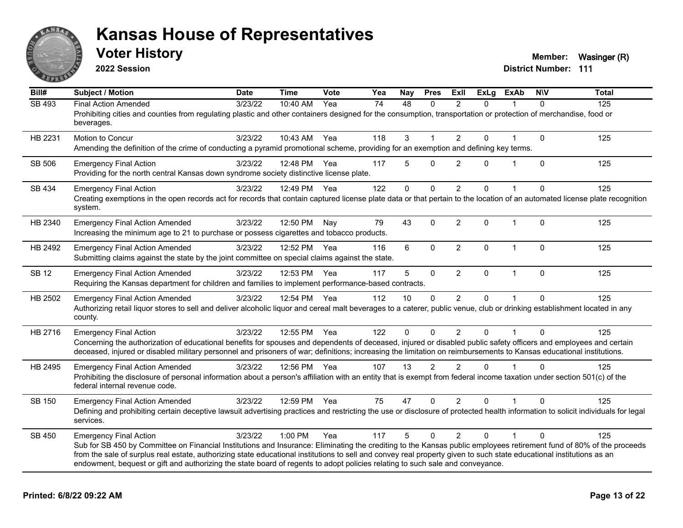

**2022 Session**

**Voter History Member:** Wasinger (R)

| Bill#         | <b>Subject / Motion</b>                                                                                                                                                                                                                                                                                                                                                                                                                                                                                        | <b>Date</b> | <b>Time</b> | Vote | Yea | Nay      | <b>Pres</b>          | ExII           | <b>ExLg</b> | <b>ExAb</b>    | <b>NIV</b>   | <b>Total</b> |
|---------------|----------------------------------------------------------------------------------------------------------------------------------------------------------------------------------------------------------------------------------------------------------------------------------------------------------------------------------------------------------------------------------------------------------------------------------------------------------------------------------------------------------------|-------------|-------------|------|-----|----------|----------------------|----------------|-------------|----------------|--------------|--------------|
| <b>SB 493</b> | <b>Final Action Amended</b><br>Prohibiting cities and counties from regulating plastic and other containers designed for the consumption, transportation or protection of merchandise, food or<br>beverages.                                                                                                                                                                                                                                                                                                   | 3/23/22     | 10:40 AM    | Yea  | 74  | 48       | $\Omega$             | $\overline{2}$ | $\Omega$    |                | $\Omega$     | 125          |
| HB 2231       | Motion to Concur<br>Amending the definition of the crime of conducting a pyramid promotional scheme, providing for an exemption and defining key terms.                                                                                                                                                                                                                                                                                                                                                        | 3/23/22     | 10:43 AM    | Yea  | 118 | 3        | $\blacktriangleleft$ | 2              | 0           |                | $\mathbf{0}$ | 125          |
| SB 506        | <b>Emergency Final Action</b><br>Providing for the north central Kansas down syndrome society distinctive license plate.                                                                                                                                                                                                                                                                                                                                                                                       | 3/23/22     | 12:48 PM    | Yea  | 117 | 5        | $\Omega$             | 2              | $\Omega$    |                | $\mathbf{0}$ | 125          |
| SB 434        | <b>Emergency Final Action</b><br>Creating exemptions in the open records act for records that contain captured license plate data or that pertain to the location of an automated license plate recognition<br>system.                                                                                                                                                                                                                                                                                         | 3/23/22     | 12:49 PM    | Yea  | 122 | 0        | 0                    | $\overline{2}$ | 0           |                | $\Omega$     | 125          |
| HB 2340       | <b>Emergency Final Action Amended</b><br>Increasing the minimum age to 21 to purchase or possess cigarettes and tobacco products.                                                                                                                                                                                                                                                                                                                                                                              | 3/23/22     | 12:50 PM    | Nay  | 79  | 43       | $\mathbf{0}$         | $\overline{2}$ | 0           | $\mathbf{1}$   | $\mathbf{0}$ | 125          |
| HB 2492       | <b>Emergency Final Action Amended</b><br>Submitting claims against the state by the joint committee on special claims against the state.                                                                                                                                                                                                                                                                                                                                                                       | 3/23/22     | 12:52 PM    | Yea  | 116 | 6        | $\mathbf{0}$         | $\overline{2}$ | 0           | $\overline{1}$ | $\mathbf{0}$ | 125          |
| <b>SB 12</b>  | <b>Emergency Final Action Amended</b><br>Requiring the Kansas department for children and families to implement performance-based contracts.                                                                                                                                                                                                                                                                                                                                                                   | 3/23/22     | 12:53 PM    | Yea  | 117 | 5        | $\mathbf 0$          | $\overline{2}$ | 0           | $\mathbf 1$    | $\mathbf 0$  | 125          |
| HB 2502       | <b>Emergency Final Action Amended</b><br>Authorizing retail liquor stores to sell and deliver alcoholic liquor and cereal malt beverages to a caterer, public venue, club or drinking establishment located in any<br>county.                                                                                                                                                                                                                                                                                  | 3/23/22     | 12:54 PM    | Yea  | 112 | 10       | $\Omega$             | 2              | 0           |                | $\Omega$     | 125          |
| HB 2716       | <b>Emergency Final Action</b><br>Concerning the authorization of educational benefits for spouses and dependents of deceased, injured or disabled public safety officers and employees and certain<br>deceased, injured or disabled military personnel and prisoners of war; definitions; increasing the limitation on reimbursements to Kansas educational institutions.                                                                                                                                      | 3/23/22     | 12:55 PM    | Yea  | 122 | $\Omega$ | $\mathbf{0}$         | $\overline{2}$ | 0           |                | $\Omega$     | 125          |
| HB 2495       | <b>Emergency Final Action Amended</b><br>Prohibiting the disclosure of personal information about a person's affiliation with an entity that is exempt from federal income taxation under section 501(c) of the<br>federal internal revenue code.                                                                                                                                                                                                                                                              | 3/23/22     | 12:56 PM    | Yea  | 107 | 13       | 2                    | 2              | $\Omega$    |                | $\Omega$     | 125          |
| <b>SB 150</b> | <b>Emergency Final Action Amended</b><br>Defining and prohibiting certain deceptive lawsuit advertising practices and restricting the use or disclosure of protected health information to solicit individuals for legal<br>services.                                                                                                                                                                                                                                                                          | 3/23/22     | 12:59 PM    | Yea  | 75  | 47       | $\Omega$             | $\overline{2}$ | 0           |                | $\Omega$     | 125          |
| SB 450        | <b>Emergency Final Action</b><br>Sub for SB 450 by Committee on Financial Institutions and Insurance: Eliminating the crediting to the Kansas public employees retirement fund of 80% of the proceeds<br>from the sale of surplus real estate, authorizing state educational institutions to sell and convey real property given to such state educational institutions as an<br>endowment, bequest or gift and authorizing the state board of regents to adopt policies relating to such sale and conveyance. | 3/23/22     | 1:00 PM     | Yea  | 117 | 5        | $\Omega$             | 2              | $\Omega$    |                | $\Omega$     | 125          |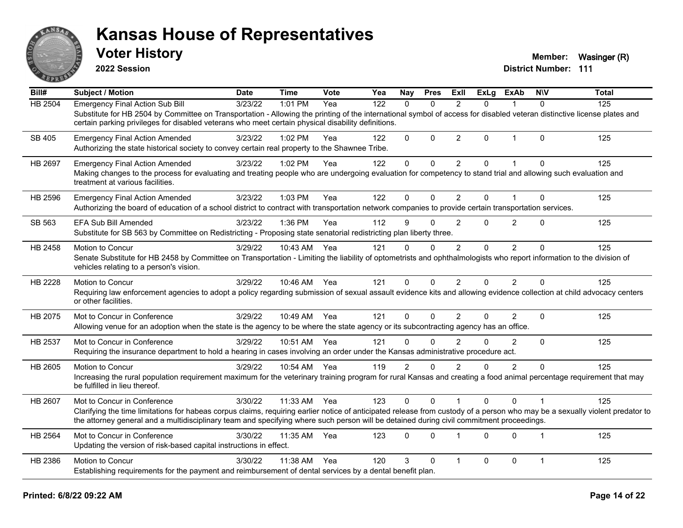

**2022 Session**

**Voter History Member:** Wasinger (R)

| Bill#   | Subject / Motion                                                                                                                                                                                                                                                                                                         | <b>Date</b> | <b>Time</b>  | Vote | Yea | <b>Nay</b>     | <b>Pres</b>  | ExII           | <b>ExLg</b> | <b>ExAb</b>    | <b>NIV</b>     | <b>Total</b> |
|---------|--------------------------------------------------------------------------------------------------------------------------------------------------------------------------------------------------------------------------------------------------------------------------------------------------------------------------|-------------|--------------|------|-----|----------------|--------------|----------------|-------------|----------------|----------------|--------------|
| HB 2504 | <b>Emergency Final Action Sub Bill</b>                                                                                                                                                                                                                                                                                   | 3/23/22     | 1:01 PM      | Yea  | 122 | $\Omega$       | $\Omega$     | 2              | $\Omega$    |                | $\Omega$       | 125          |
|         | Substitute for HB 2504 by Committee on Transportation - Allowing the printing of the international symbol of access for disabled veteran distinctive license plates and<br>certain parking privileges for disabled veterans who meet certain physical disability definitions.                                            |             |              |      |     |                |              |                |             |                |                |              |
| SB 405  | <b>Emergency Final Action Amended</b><br>Authorizing the state historical society to convey certain real property to the Shawnee Tribe.                                                                                                                                                                                  | 3/23/22     | 1:02 PM      | Yea  | 122 | $\mathbf{0}$   | $\mathbf{0}$ | $\overline{2}$ | $\Omega$    | $\mathbf{1}$   | $\Omega$       | 125          |
| HB 2697 | <b>Emergency Final Action Amended</b>                                                                                                                                                                                                                                                                                    | 3/23/22     | 1:02 PM      | Yea  | 122 | 0              | $\mathbf 0$  | $\overline{2}$ | 0           | 1              | $\mathbf{0}$   | 125          |
|         | Making changes to the process for evaluating and treating people who are undergoing evaluation for competency to stand trial and allowing such evaluation and<br>treatment at various facilities.                                                                                                                        |             |              |      |     |                |              |                |             |                |                |              |
| HB 2596 | <b>Emergency Final Action Amended</b>                                                                                                                                                                                                                                                                                    | 3/23/22     | 1:03 PM      | Yea  | 122 | 0              | $\mathbf{0}$ | $\overline{2}$ | $\Omega$    | $\mathbf 1$    | $\mathbf{0}$   | 125          |
|         | Authorizing the board of education of a school district to contract with transportation network companies to provide certain transportation services.                                                                                                                                                                    |             |              |      |     |                |              |                |             |                |                |              |
| SB 563  | EFA Sub Bill Amended                                                                                                                                                                                                                                                                                                     | 3/23/22     | 1:36 PM      | Yea  | 112 | 9              | $\Omega$     | 2              | $\Omega$    | $\overline{2}$ | $\Omega$       | 125          |
|         | Substitute for SB 563 by Committee on Redistricting - Proposing state senatorial redistricting plan liberty three.                                                                                                                                                                                                       |             |              |      |     |                |              |                |             |                |                |              |
| HB 2458 | Motion to Concur                                                                                                                                                                                                                                                                                                         | 3/29/22     | 10:43 AM     | Yea  | 121 | $\mathbf{0}$   | $\mathbf{0}$ | $\overline{2}$ | 0           | $\overline{2}$ | $\Omega$       | 125          |
|         | Senate Substitute for HB 2458 by Committee on Transportation - Limiting the liability of optometrists and ophthalmologists who report information to the division of<br>vehicles relating to a person's vision.                                                                                                          |             |              |      |     |                |              |                |             |                |                |              |
| HB 2228 | Motion to Concur                                                                                                                                                                                                                                                                                                         | 3/29/22     | 10:46 AM Yea |      | 121 | $\mathbf{0}$   | $\mathbf{0}$ | $\overline{2}$ | $\Omega$    | $\overline{2}$ | $\Omega$       | 125          |
|         | Requiring law enforcement agencies to adopt a policy regarding submission of sexual assault evidence kits and allowing evidence collection at child advocacy centers<br>or other facilities.                                                                                                                             |             |              |      |     |                |              |                |             |                |                |              |
| HB 2075 | Mot to Concur in Conference                                                                                                                                                                                                                                                                                              | 3/29/22     | 10:49 AM     | Yea  | 121 | $\mathbf 0$    | $\mathbf 0$  | $\overline{2}$ | $\Omega$    | $\overline{2}$ | $\mathbf{0}$   | 125          |
|         | Allowing venue for an adoption when the state is the agency to be where the state agency or its subcontracting agency has an office.                                                                                                                                                                                     |             |              |      |     |                |              |                |             |                |                |              |
| HB 2537 | Mot to Concur in Conference                                                                                                                                                                                                                                                                                              | 3/29/22     | 10:51 AM     | Yea  | 121 | $\Omega$       | $\Omega$     | $\mathfrak{p}$ | $\Omega$    | 2              | $\Omega$       | 125          |
|         | Requiring the insurance department to hold a hearing in cases involving an order under the Kansas administrative procedure act.                                                                                                                                                                                          |             |              |      |     |                |              |                |             |                |                |              |
| HB 2605 | Motion to Concur                                                                                                                                                                                                                                                                                                         | 3/29/22     | 10:54 AM     | Yea  | 119 | $\overline{2}$ | $\Omega$     | $\mathfrak{p}$ | 0           | $\overline{2}$ | $\Omega$       | 125          |
|         | Increasing the rural population requirement maximum for the veterinary training program for rural Kansas and creating a food animal percentage requirement that may<br>be fulfilled in lieu thereof.                                                                                                                     |             |              |      |     |                |              |                |             |                |                |              |
| HB 2607 | Mot to Concur in Conference                                                                                                                                                                                                                                                                                              | 3/30/22     | 11:33 AM     | Yea  | 123 | $\mathbf{0}$   | $\Omega$     |                | $\Omega$    | $\Omega$       |                | 125          |
|         | Clarifying the time limitations for habeas corpus claims, requiring earlier notice of anticipated release from custody of a person who may be a sexually violent predator to<br>the attorney general and a multidisciplinary team and specifying where such person will be detained during civil commitment proceedings. |             |              |      |     |                |              |                |             |                |                |              |
| HB 2564 | Mot to Concur in Conference                                                                                                                                                                                                                                                                                              | 3/30/22     | 11:35 AM     | Yea  | 123 | $\mathbf{0}$   | $\Omega$     | 1              | $\Omega$    | $\Omega$       | $\overline{1}$ | 125          |
|         | Updating the version of risk-based capital instructions in effect.                                                                                                                                                                                                                                                       |             |              |      |     |                |              |                |             |                |                |              |
| HB 2386 | Motion to Concur                                                                                                                                                                                                                                                                                                         | 3/30/22     | 11:38 AM     | Yea  | 120 | 3              | $\Omega$     | 1              | $\Omega$    | $\Omega$       | $\overline{1}$ | 125          |
|         | Establishing requirements for the payment and reimbursement of dental services by a dental benefit plan.                                                                                                                                                                                                                 |             |              |      |     |                |              |                |             |                |                |              |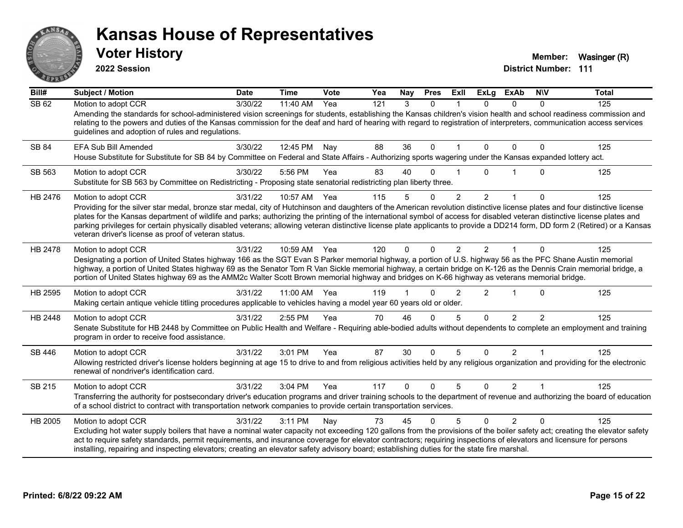

**2022 Session**

**Voter History Member:** Wasinger (R)

| Bill#   | Subject / Motion                                                                                                                                                                                                                                                                                                                                                                                                                                                                                                                                                                                                        | <b>Date</b> | <b>Time</b> | Vote | Yea | Nay          | <b>Pres</b> | ExII           | <b>ExLg</b>    | <b>ExAb</b>    | <b>NIV</b>     | <b>Total</b> |
|---------|-------------------------------------------------------------------------------------------------------------------------------------------------------------------------------------------------------------------------------------------------------------------------------------------------------------------------------------------------------------------------------------------------------------------------------------------------------------------------------------------------------------------------------------------------------------------------------------------------------------------------|-------------|-------------|------|-----|--------------|-------------|----------------|----------------|----------------|----------------|--------------|
| SB62    | Motion to adopt CCR<br>Amending the standards for school-administered vision screenings for students, establishing the Kansas children's vision health and school readiness commission and<br>relating to the powers and duties of the Kansas commission for the deaf and hard of hearing with regard to registration of interpreters, communication access services<br>guidelines and adoption of rules and regulations.                                                                                                                                                                                               | 3/30/22     | 11:40 AM    | Yea  | 121 | 3            | $\Omega$    |                | 0              | $\Omega$       | $\Omega$       | 125          |
| SB 84   | EFA Sub Bill Amended<br>House Substitute for Substitute for SB 84 by Committee on Federal and State Affairs - Authorizing sports wagering under the Kansas expanded lottery act.                                                                                                                                                                                                                                                                                                                                                                                                                                        | 3/30/22     | 12:45 PM    | Nay  | 88  | 36           | $\Omega$    |                | 0              | $\Omega$       | $\Omega$       | 125          |
| SB 563  | Motion to adopt CCR<br>Substitute for SB 563 by Committee on Redistricting - Proposing state senatorial redistricting plan liberty three.                                                                                                                                                                                                                                                                                                                                                                                                                                                                               | 3/30/22     | 5:56 PM     | Yea  | 83  | 40           | $\Omega$    |                | 0              |                | $\Omega$       | 125          |
| HB 2476 | Motion to adopt CCR<br>Providing for the silver star medal, bronze star medal, city of Hutchinson and daughters of the American revolution distinctive license plates and four distinctive license<br>plates for the Kansas department of wildlife and parks; authorizing the printing of the international symbol of access for disabled veteran distinctive license plates and<br>parking privileges for certain physically disabled veterans; allowing veteran distinctive license plate applicants to provide a DD214 form, DD form 2 (Retired) or a Kansas<br>veteran driver's license as proof of veteran status. | 3/31/22     | 10:57 AM    | Yea  | 115 | 5            | $\Omega$    | $\overline{2}$ | $\overline{2}$ | 1              | $\Omega$       | 125          |
| HB 2478 | Motion to adopt CCR<br>Designating a portion of United States highway 166 as the SGT Evan S Parker memorial highway, a portion of U.S. highway 56 as the PFC Shane Austin memorial<br>highway, a portion of United States highway 69 as the Senator Tom R Van Sickle memorial highway, a certain bridge on K-126 as the Dennis Crain memorial bridge, a<br>portion of United States highway 69 as the AMM2c Walter Scott Brown memorial highway and bridges on K-66 highway as veterans memorial bridge.                                                                                                                | 3/31/22     | 10:59 AM    | Yea  | 120 | $\mathbf{0}$ | $\Omega$    | 2              | $\mathcal{P}$  |                | $\Omega$       | 125          |
| HB 2595 | Motion to adopt CCR<br>Making certain antique vehicle titling procedures applicable to vehicles having a model year 60 years old or older.                                                                                                                                                                                                                                                                                                                                                                                                                                                                              | 3/31/22     | 11:00 AM    | Yea  | 119 |              | $\Omega$    | 2              | $\overline{2}$ | $\overline{1}$ | $\Omega$       | 125          |
| HB 2448 | Motion to adopt CCR<br>Senate Substitute for HB 2448 by Committee on Public Health and Welfare - Requiring able-bodied adults without dependents to complete an employment and training<br>program in order to receive food assistance.                                                                                                                                                                                                                                                                                                                                                                                 | 3/31/22     | 2:55 PM     | Yea  | 70  | 46           | $\Omega$    | 5              | $\Omega$       | $\overline{2}$ | $\mathfrak{D}$ | 125          |
| SB 446  | Motion to adopt CCR<br>Allowing restricted driver's license holders beginning at age 15 to drive to and from religious activities held by any religious organization and providing for the electronic<br>renewal of nondriver's identification card.                                                                                                                                                                                                                                                                                                                                                                    | 3/31/22     | 3:01 PM     | Yea  | 87  | 30           | $\Omega$    | 5              | $\Omega$       | $\overline{2}$ |                | 125          |
| SB 215  | Motion to adopt CCR<br>Transferring the authority for postsecondary driver's education programs and driver training schools to the department of revenue and authorizing the board of education<br>of a school district to contract with transportation network companies to provide certain transportation services.                                                                                                                                                                                                                                                                                                   | 3/31/22     | 3:04 PM     | Yea  | 117 | $\Omega$     | $\Omega$    | 5              | $\Omega$       | $\mathcal{P}$  | $\overline{1}$ | 125          |
| HB 2005 | Motion to adopt CCR<br>Excluding hot water supply boilers that have a nominal water capacity not exceeding 120 gallons from the provisions of the boiler safety act; creating the elevator safety<br>act to require safety standards, permit requirements, and insurance coverage for elevator contractors; requiring inspections of elevators and licensure for persons<br>installing, repairing and inspecting elevators; creating an elevator safety advisory board; establishing duties for the state fire marshal.                                                                                                 | 3/31/22     | 3:11 PM     | Nay  | 73  | 45           | $\Omega$    | 5              | $\Omega$       | 2              | $\Omega$       | 125          |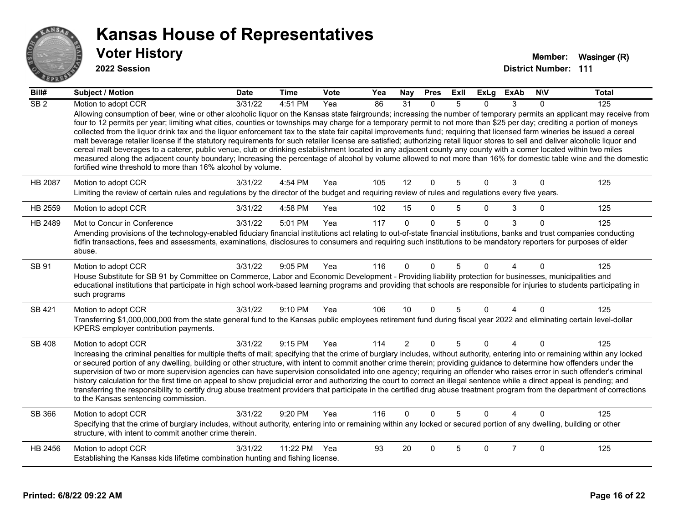

#### **2022 Session**

| Bill#            | <b>Subject / Motion</b>                                                                                                                                                                                                                                                                                                                                                                                                                                                                                                                                                                                                                                                                                                                                                                                                                                                                                                                                                                                                                                                                                                   | <b>Date</b> | <b>Time</b>  | Vote | Yea | Nay            | <b>Pres</b>  | ExII | ExLg     | <b>ExAb</b>    | <b>NIV</b>   | <b>Total</b> |
|------------------|---------------------------------------------------------------------------------------------------------------------------------------------------------------------------------------------------------------------------------------------------------------------------------------------------------------------------------------------------------------------------------------------------------------------------------------------------------------------------------------------------------------------------------------------------------------------------------------------------------------------------------------------------------------------------------------------------------------------------------------------------------------------------------------------------------------------------------------------------------------------------------------------------------------------------------------------------------------------------------------------------------------------------------------------------------------------------------------------------------------------------|-------------|--------------|------|-----|----------------|--------------|------|----------|----------------|--------------|--------------|
| $\overline{SB2}$ | Motion to adopt CCR                                                                                                                                                                                                                                                                                                                                                                                                                                                                                                                                                                                                                                                                                                                                                                                                                                                                                                                                                                                                                                                                                                       | 3/31/22     | 4:51 PM      | Yea  | 86  | 31             | $\Omega$     | 5    | O.       | 3              | $\Omega$     | 125          |
|                  | Allowing consumption of beer, wine or other alcoholic liquor on the Kansas state fairgrounds; increasing the number of temporary permits an applicant may receive from<br>four to 12 permits per year; limiting what cities, counties or townships may charge for a temporary permit to not more than \$25 per day; crediting a portion of moneys<br>collected from the liquor drink tax and the liquor enforcement tax to the state fair capital improvements fund; requiring that licensed farm wineries be issued a cereal<br>malt beverage retailer license if the statutory requirements for such retailer license are satisfied; authorizing retail liquor stores to sell and deliver alcoholic liquor and<br>cereal malt beverages to a caterer, public venue, club or drinking establishment located in any adjacent county any county with a comer located within two miles<br>measured along the adjacent county boundary; Increasing the percentage of alcohol by volume allowed to not more than 16% for domestic table wine and the domestic<br>fortified wine threshold to more than 16% alcohol by volume. |             |              |      |     |                |              |      |          |                |              |              |
| <b>HB 2087</b>   | Motion to adopt CCR<br>Limiting the review of certain rules and regulations by the director of the budget and requiring review of rules and regulations every five years.                                                                                                                                                                                                                                                                                                                                                                                                                                                                                                                                                                                                                                                                                                                                                                                                                                                                                                                                                 | 3/31/22     | 4:54 PM      | Yea  | 105 | 12             | $\mathbf{0}$ | 5    | 0        | 3              | $\mathbf 0$  | 125          |
| HB 2559          | Motion to adopt CCR                                                                                                                                                                                                                                                                                                                                                                                                                                                                                                                                                                                                                                                                                                                                                                                                                                                                                                                                                                                                                                                                                                       | 3/31/22     | 4:58 PM      | Yea  | 102 | 15             | $\mathbf{0}$ | 5    | $\Omega$ | 3              | $\mathbf{0}$ | 125          |
| HB 2489          | Mot to Concur in Conference                                                                                                                                                                                                                                                                                                                                                                                                                                                                                                                                                                                                                                                                                                                                                                                                                                                                                                                                                                                                                                                                                               | 3/31/22     | 5:01 PM      | Yea  | 117 | $\Omega$       | $\Omega$     | 5    | $\Omega$ | 3              | $\Omega$     | 125          |
|                  | Amending provisions of the technology-enabled fiduciary financial institutions act relating to out-of-state financial institutions, banks and trust companies conducting<br>fidfin transactions, fees and assessments, examinations, disclosures to consumers and requiring such institutions to be mandatory reporters for purposes of elder<br>abuse.                                                                                                                                                                                                                                                                                                                                                                                                                                                                                                                                                                                                                                                                                                                                                                   |             |              |      |     |                |              |      |          |                |              |              |
| SB 91            | Motion to adopt CCR<br>House Substitute for SB 91 by Committee on Commerce, Labor and Economic Development - Providing liability protection for businesses, municipalities and<br>educational institutions that participate in high school work-based learning programs and providing that schools are responsible for injuries to students participating in<br>such programs                                                                                                                                                                                                                                                                                                                                                                                                                                                                                                                                                                                                                                                                                                                                             | 3/31/22     | 9:05 PM      | Yea  | 116 | $\Omega$       | $\Omega$     | 5    | U        |                | $\Omega$     | 125          |
| SB 421           | Motion to adopt CCR                                                                                                                                                                                                                                                                                                                                                                                                                                                                                                                                                                                                                                                                                                                                                                                                                                                                                                                                                                                                                                                                                                       | 3/31/22     | 9:10 PM      | Yea  | 106 | 10             | $\Omega$     | 5    | $\Omega$ | 4              | $\Omega$     | 125          |
|                  | Transferring \$1,000,000,000 from the state general fund to the Kansas public employees retirement fund during fiscal year 2022 and eliminating certain level-dollar<br>KPERS employer contribution payments.                                                                                                                                                                                                                                                                                                                                                                                                                                                                                                                                                                                                                                                                                                                                                                                                                                                                                                             |             |              |      |     |                |              |      |          |                |              |              |
| <b>SB 408</b>    | Motion to adopt CCR<br>Increasing the criminal penalties for multiple thefts of mail; specifying that the crime of burglary includes, without authority, entering into or remaining within any locked<br>or secured portion of any dwelling, building or other structure, with intent to commit another crime therein; providing guidance to determine how offenders under the                                                                                                                                                                                                                                                                                                                                                                                                                                                                                                                                                                                                                                                                                                                                            | 3/31/22     | 9:15 PM      | Yea  | 114 | $\overline{2}$ | $\Omega$     | 5    | $\Omega$ | $\overline{4}$ | $\Omega$     | 125          |
|                  | supervision of two or more supervision agencies can have supervision consolidated into one agency; requiring an offender who raises error in such offender's criminal<br>history calculation for the first time on appeal to show prejudicial error and authorizing the court to correct an illegal sentence while a direct appeal is pending; and<br>transferring the responsibility to certify drug abuse treatment providers that participate in the certified drug abuse treatment program from the department of corrections<br>to the Kansas sentencing commission.                                                                                                                                                                                                                                                                                                                                                                                                                                                                                                                                                 |             |              |      |     |                |              |      |          |                |              |              |
| SB 366           | Motion to adopt CCR                                                                                                                                                                                                                                                                                                                                                                                                                                                                                                                                                                                                                                                                                                                                                                                                                                                                                                                                                                                                                                                                                                       | 3/31/22     | 9:20 PM      | Yea  | 116 | $\Omega$       | $\Omega$     | 5    | $\Omega$ |                | $\Omega$     | 125          |
|                  | Specifying that the crime of burglary includes, without authority, entering into or remaining within any locked or secured portion of any dwelling, building or other<br>structure, with intent to commit another crime therein.                                                                                                                                                                                                                                                                                                                                                                                                                                                                                                                                                                                                                                                                                                                                                                                                                                                                                          |             |              |      |     |                |              |      |          |                |              |              |
| HB 2456          | Motion to adopt CCR                                                                                                                                                                                                                                                                                                                                                                                                                                                                                                                                                                                                                                                                                                                                                                                                                                                                                                                                                                                                                                                                                                       | 3/31/22     | 11:22 PM Yea |      | 93  | 20             | $\Omega$     | 5    | $\Omega$ | $\overline{7}$ | $\Omega$     | 125          |
|                  | Establishing the Kansas kids lifetime combination hunting and fishing license.                                                                                                                                                                                                                                                                                                                                                                                                                                                                                                                                                                                                                                                                                                                                                                                                                                                                                                                                                                                                                                            |             |              |      |     |                |              |      |          |                |              |              |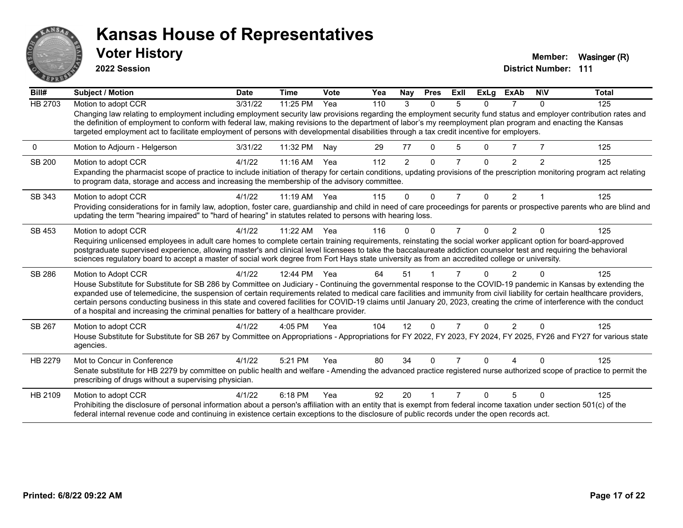

**2022 Session**

**District Number: 111 Voter History Member:** Wasinger (R)

| Bill#         | <b>Subject / Motion</b>                                                                                                                                                                                                                                                                                                                                                                                                                                                                                                                                                                                                 | <b>Date</b> | <b>Time</b>  | Vote | Yea | Nay          | <b>Pres</b> | ExII | ExLa     | <b>ExAb</b>    | <b>NIV</b>     | <b>Total</b> |
|---------------|-------------------------------------------------------------------------------------------------------------------------------------------------------------------------------------------------------------------------------------------------------------------------------------------------------------------------------------------------------------------------------------------------------------------------------------------------------------------------------------------------------------------------------------------------------------------------------------------------------------------------|-------------|--------------|------|-----|--------------|-------------|------|----------|----------------|----------------|--------------|
| HB 2703       | Motion to adopt CCR                                                                                                                                                                                                                                                                                                                                                                                                                                                                                                                                                                                                     | 3/31/22     | 11:25 PM     | Yea  | 110 | 3            | $\Omega$    | 5    | 0        |                | 0              | 125          |
|               | Changing law relating to employment including employment security law provisions regarding the employment security fund status and employer contribution rates and<br>the definition of employment to conform with federal law, making revisions to the department of labor's my reemployment plan program and enacting the Kansas<br>targeted employment act to facilitate employment of persons with developmental disabilities through a tax credit incentive for employers.                                                                                                                                         |             |              |      |     |              |             |      |          |                |                |              |
| $\mathbf 0$   | Motion to Adjourn - Helgerson                                                                                                                                                                                                                                                                                                                                                                                                                                                                                                                                                                                           | 3/31/22     | 11:32 PM     | Nay  | 29  | 77           | $\Omega$    | 5    | $\Omega$ | $\overline{7}$ |                | 125          |
| <b>SB 200</b> | Motion to adopt CCR<br>Expanding the pharmacist scope of practice to include initiation of therapy for certain conditions, updating provisions of the prescription monitoring program act relating<br>to program data, storage and access and increasing the membership of the advisory committee.                                                                                                                                                                                                                                                                                                                      | 4/1/22      | $11:16$ AM   | Yea  | 112 | 2            | $\Omega$    |      | $\Omega$ | $\overline{2}$ | $\overline{2}$ | 125          |
| SB 343        | Motion to adopt CCR                                                                                                                                                                                                                                                                                                                                                                                                                                                                                                                                                                                                     | 4/1/22      | 11:19 AM Yea |      | 115 | $\mathbf{0}$ | $\Omega$    | 7    | $\Omega$ | $\overline{2}$ |                | 125          |
|               | Providing considerations for in family law, adoption, foster care, guardianship and child in need of care proceedings for parents or prospective parents who are blind and<br>updating the term "hearing impaired" to "hard of hearing" in statutes related to persons with hearing loss.                                                                                                                                                                                                                                                                                                                               |             |              |      |     |              |             |      |          |                |                |              |
| SB 453        | Motion to adopt CCR                                                                                                                                                                                                                                                                                                                                                                                                                                                                                                                                                                                                     | 4/1/22      | 11:22 AM     | Yea  | 116 | ŋ            |             |      | $\Omega$ | $\mathfrak{p}$ |                | 125          |
|               | Requiring unlicensed employees in adult care homes to complete certain training requirements, reinstating the social worker applicant option for board-approved<br>postgraduate supervised experience, allowing master's and clinical level licensees to take the baccalaureate addiction counselor test and requiring the behavioral<br>sciences regulatory board to accept a master of social work degree from Fort Hays state university as from an accredited college or university.                                                                                                                                |             |              |      |     |              |             |      |          |                |                |              |
| SB 286        | Motion to Adopt CCR                                                                                                                                                                                                                                                                                                                                                                                                                                                                                                                                                                                                     | 4/1/22      | 12:44 PM     | Yea  | 64  | 51           |             |      | 0        |                |                | 125          |
|               | House Substitute for Substitute for SB 286 by Committee on Judiciary - Continuing the governmental response to the COVID-19 pandemic in Kansas by extending the<br>expanded use of telemedicine, the suspension of certain requirements related to medical care facilities and immunity from civil liability for certain healthcare providers,<br>certain persons conducting business in this state and covered facilities for COVID-19 claims until January 20, 2023, creating the crime of interference with the conduct<br>of a hospital and increasing the criminal penalties for battery of a healthcare provider. |             |              |      |     |              |             |      |          |                |                |              |
| SB 267        | Motion to adopt CCR                                                                                                                                                                                                                                                                                                                                                                                                                                                                                                                                                                                                     | 4/1/22      | $4:05$ PM    | Yea  | 104 | 12           | $\Omega$    |      | $\Omega$ | 2              |                | 125          |
|               | House Substitute for Substitute for SB 267 by Committee on Appropriations - Appropriations for FY 2022, FY 2023, FY 2024, FY 2025, FY26 and FY27 for various state<br>agencies.                                                                                                                                                                                                                                                                                                                                                                                                                                         |             |              |      |     |              |             |      |          |                |                |              |
| HB 2279       | Mot to Concur in Conference<br>Senate substitute for HB 2279 by committee on public health and welfare - Amending the advanced practice registered nurse authorized scope of practice to permit the<br>prescribing of drugs without a supervising physician.                                                                                                                                                                                                                                                                                                                                                            | 4/1/22      | 5:21 PM      | Yea  | 80  | 34           |             |      | 0        |                |                | 125          |
| HB 2109       | Motion to adopt CCR                                                                                                                                                                                                                                                                                                                                                                                                                                                                                                                                                                                                     | 4/1/22      | 6:18 PM      | Yea  | 92  | 20           |             |      | $\Omega$ | 5              | $\Omega$       | 125          |
|               | Prohibiting the disclosure of personal information about a person's affiliation with an entity that is exempt from federal income taxation under section 501(c) of the<br>federal internal revenue code and continuing in existence certain exceptions to the disclosure of public records under the open records act.                                                                                                                                                                                                                                                                                                  |             |              |      |     |              |             |      |          |                |                |              |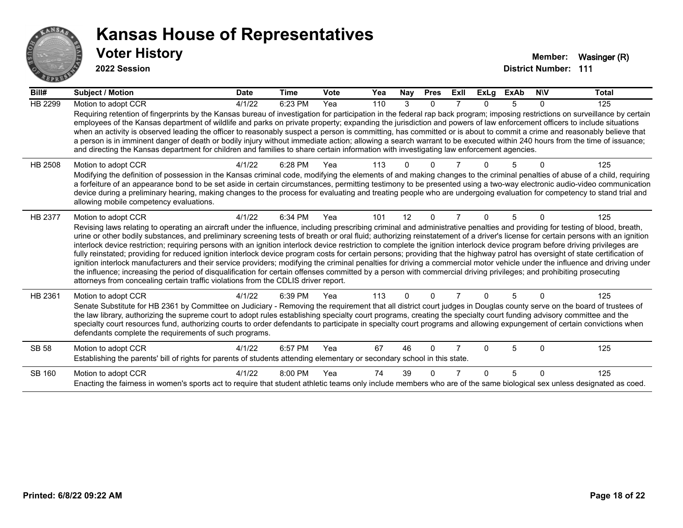

**2022 Session**

| Bill#        | Subject / Motion                                                                                                                                                                                                                                                                                                                                                                                                                                                                                                                                                                                                                                                                                                                                                                                                                                                                                                                                                                                                                                                                                                                                                                                      | <b>Date</b> | <b>Time</b> | Vote | Yea | Nay      | <b>Pres</b> | ExII | <b>ExLg</b> | <b>ExAb</b> | <b>NIV</b> | Total |
|--------------|-------------------------------------------------------------------------------------------------------------------------------------------------------------------------------------------------------------------------------------------------------------------------------------------------------------------------------------------------------------------------------------------------------------------------------------------------------------------------------------------------------------------------------------------------------------------------------------------------------------------------------------------------------------------------------------------------------------------------------------------------------------------------------------------------------------------------------------------------------------------------------------------------------------------------------------------------------------------------------------------------------------------------------------------------------------------------------------------------------------------------------------------------------------------------------------------------------|-------------|-------------|------|-----|----------|-------------|------|-------------|-------------|------------|-------|
| HB 2299      | Motion to adopt CCR<br>Requiring retention of fingerprints by the Kansas bureau of investigation for participation in the federal rap back program; imposing restrictions on surveillance by certain<br>employees of the Kansas department of wildlife and parks on private property; expanding the jurisdiction and powers of law enforcement officers to include situations<br>when an activity is observed leading the officer to reasonably suspect a person is committing, has committed or is about to commit a crime and reasonably believe that<br>a person is in imminent danger of death or bodily injury without immediate action; allowing a search warrant to be executed within 240 hours from the time of issuance;<br>and directing the Kansas department for children and families to share certain information with investigating law enforcement agencies.                                                                                                                                                                                                                                                                                                                         | 4/1/22      | 6:23 PM     | Yea  | 110 | 3        | $\Omega$    |      | 0           | 5           | $\Omega$   | 125   |
| HB 2508      | Motion to adopt CCR<br>Modifying the definition of possession in the Kansas criminal code, modifying the elements of and making changes to the criminal penalties of abuse of a child, requiring<br>a forfeiture of an appearance bond to be set aside in certain circumstances, permitting testimony to be presented using a two-way electronic audio-video communication<br>device during a preliminary hearing, making changes to the process for evaluating and treating people who are undergoing evaluation for competency to stand trial and<br>allowing mobile competency evaluations.                                                                                                                                                                                                                                                                                                                                                                                                                                                                                                                                                                                                        | 4/1/22      | 6:28 PM     | Yea  | 113 |          |             |      |             |             |            | 125   |
| HB 2377      | Motion to adopt CCR<br>Revising laws relating to operating an aircraft under the influence, including prescribing criminal and administrative penalties and providing for testing of blood, breath,<br>urine or other bodily substances, and preliminary screening tests of breath or oral fluid; authorizing reinstatement of a driver's license for certain persons with an ignition<br>interlock device restriction; requiring persons with an ignition interlock device restriction to complete the ignition interlock device program before driving privileges are<br>fully reinstated; providing for reduced ignition interlock device program costs for certain persons; providing that the highway patrol has oversight of state certification of<br>ignition interlock manufacturers and their service providers; modifying the criminal penalties for driving a commercial motor vehicle under the influence and driving under<br>the influence; increasing the period of disqualification for certain offenses committed by a person with commercial driving privileges; and prohibiting prosecuting<br>attorneys from concealing certain traffic violations from the CDLIS driver report. | 4/1/22      | 6:34 PM     | Yea  | 101 | 12       | $\Omega$    |      | 0           | 5           | $\Omega$   | 125   |
| HB 2361      | Motion to adopt CCR<br>Senate Substitute for HB 2361 by Committee on Judiciary - Removing the requirement that all district court judges in Douglas county serve on the board of trustees of<br>the law library, authorizing the supreme court to adopt rules establishing specialty court programs, creating the specialty court funding advisory committee and the<br>specialty court resources fund, authorizing courts to order defendants to participate in specialty court programs and allowing expungement of certain convictions when<br>defendants complete the requirements of such programs.                                                                                                                                                                                                                                                                                                                                                                                                                                                                                                                                                                                              | 4/1/22      | 6:39 PM     | Yea  | 113 | $\Omega$ | $\Omega$    |      | 0           | 5           | $\Omega$   | 125   |
| <b>SB 58</b> | Motion to adopt CCR<br>Establishing the parents' bill of rights for parents of students attending elementary or secondary school in this state.                                                                                                                                                                                                                                                                                                                                                                                                                                                                                                                                                                                                                                                                                                                                                                                                                                                                                                                                                                                                                                                       | 4/1/22      | 6:57 PM     | Yea  | 67  | 46       | $\Omega$    |      | 0           | 5           | $\Omega$   | 125   |
| SB 160       | Motion to adopt CCR<br>Enacting the fairness in women's sports act to require that student athletic teams only include members who are of the same biological sex unless designated as coed.                                                                                                                                                                                                                                                                                                                                                                                                                                                                                                                                                                                                                                                                                                                                                                                                                                                                                                                                                                                                          | 4/1/22      | $8:00$ PM   | Yea  | 74  | 39       |             |      | 0           | 5           | $\Omega$   | 125   |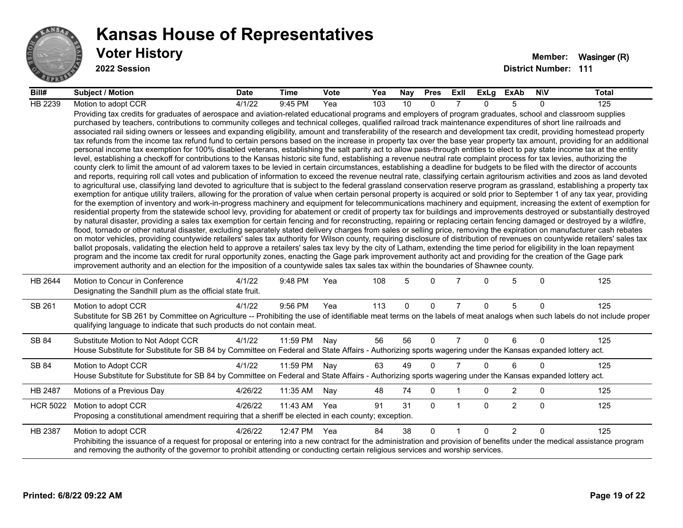

**2022 Session**

| Bill#           | <b>Subject / Motion</b>                                                                                                                                                                                                                                                                                                                                                                                                                                                                                                                                                                                                                                                                                                                                                                                                                                                                                                                                                                                                                                                                                                                                                                                                                                                                                                                                                                                                                                                                                                                                                                                                                                                                                                                                                                                                                                                                                                                                                                                                                                                                                                                                                                                                                                                                                                                                                                                                                                                                                                                                                                                                                                                                                                                                                                                                                                                                                                                                                                                                                                                                                                                                                     | <b>Date</b> | Time     | <b>Vote</b> | Yea | Nay | <b>Pres</b>  | ExII           | ExLg         | ExAb           | <b>NIV</b>   | Total |
|-----------------|-----------------------------------------------------------------------------------------------------------------------------------------------------------------------------------------------------------------------------------------------------------------------------------------------------------------------------------------------------------------------------------------------------------------------------------------------------------------------------------------------------------------------------------------------------------------------------------------------------------------------------------------------------------------------------------------------------------------------------------------------------------------------------------------------------------------------------------------------------------------------------------------------------------------------------------------------------------------------------------------------------------------------------------------------------------------------------------------------------------------------------------------------------------------------------------------------------------------------------------------------------------------------------------------------------------------------------------------------------------------------------------------------------------------------------------------------------------------------------------------------------------------------------------------------------------------------------------------------------------------------------------------------------------------------------------------------------------------------------------------------------------------------------------------------------------------------------------------------------------------------------------------------------------------------------------------------------------------------------------------------------------------------------------------------------------------------------------------------------------------------------------------------------------------------------------------------------------------------------------------------------------------------------------------------------------------------------------------------------------------------------------------------------------------------------------------------------------------------------------------------------------------------------------------------------------------------------------------------------------------------------------------------------------------------------------------------------------------------------------------------------------------------------------------------------------------------------------------------------------------------------------------------------------------------------------------------------------------------------------------------------------------------------------------------------------------------------------------------------------------------------------------------------------------------------|-------------|----------|-------------|-----|-----|--------------|----------------|--------------|----------------|--------------|-------|
| HB 2239         | Motion to adopt CCR                                                                                                                                                                                                                                                                                                                                                                                                                                                                                                                                                                                                                                                                                                                                                                                                                                                                                                                                                                                                                                                                                                                                                                                                                                                                                                                                                                                                                                                                                                                                                                                                                                                                                                                                                                                                                                                                                                                                                                                                                                                                                                                                                                                                                                                                                                                                                                                                                                                                                                                                                                                                                                                                                                                                                                                                                                                                                                                                                                                                                                                                                                                                                         | 4/1/22      | 9:45 PM  | Yea         | 103 | 10  | $\Omega$     |                | $\Omega$     | 5              | $\Omega$     | 125   |
|                 | Providing tax credits for graduates of aerospace and aviation-related educational programs and employers of program graduates, school and classroom supplies<br>purchased by teachers, contributions to community colleges and technical colleges, qualified railroad track maintenance expenditures of short line railroads and<br>associated rail siding owners or lessees and expanding eligibility, amount and transferability of the research and development tax credit, providing homestead property<br>tax refunds from the income tax refund fund to certain persons based on the increase in property tax over the base year property tax amount, providing for an additional<br>personal income tax exemption for 100% disabled veterans, establishing the salt parity act to allow pass-through entities to elect to pay state income tax at the entity<br>level, establishing a checkoff for contributions to the Kansas historic site fund, establishing a revenue neutral rate complaint process for tax levies, authorizing the<br>county clerk to limit the amount of ad valorem taxes to be levied in certain circumstances, establishing a deadline for budgets to be filed with the director of accounts<br>and reports, requiring roll call votes and publication of information to exceed the revenue neutral rate, classifying certain agritourism activities and zoos as land devoted<br>to agricultural use, classifying land devoted to agriculture that is subject to the federal grassland conservation reserve program as grassland, establishing a property tax<br>exemption for antique utility trailers, allowing for the proration of value when certain personal property is acquired or sold prior to September 1 of any tax year, providing<br>for the exemption of inventory and work-in-progress machinery and equipment for telecommunications machinery and equipment, increasing the extent of exemption for<br>residential property from the statewide school levy, providing for abatement or credit of property tax for buildings and improvements destroyed or substantially destroyed<br>by natural disaster, providing a sales tax exemption for certain fencing and for reconstructing, repairing or replacing certain fencing damaged or destroyed by a wildfire,<br>flood, tornado or other natural disaster, excluding separately stated delivery charges from sales or selling price, removing the expiration on manufacturer cash rebates<br>on motor vehicles, providing countywide retailers' sales tax authority for Wilson county, requiring disclosure of distribution of revenues on countywide retailers' sales tax<br>ballot proposals, validating the election held to approve a retailers' sales tax levy by the city of Latham, extending the time period for eligibility in the loan repayment<br>program and the income tax credit for rural opportunity zones, enacting the Gage park improvement authority act and providing for the creation of the Gage park<br>improvement authority and an election for the imposition of a countywide sales tax sales tax within the boundaries of Shawnee county. |             |          |             |     |     |              |                |              |                |              |       |
| HB 2644         | Motion to Concur in Conference<br>Designating the Sandhill plum as the official state fruit.                                                                                                                                                                                                                                                                                                                                                                                                                                                                                                                                                                                                                                                                                                                                                                                                                                                                                                                                                                                                                                                                                                                                                                                                                                                                                                                                                                                                                                                                                                                                                                                                                                                                                                                                                                                                                                                                                                                                                                                                                                                                                                                                                                                                                                                                                                                                                                                                                                                                                                                                                                                                                                                                                                                                                                                                                                                                                                                                                                                                                                                                                | 4/1/22      | 9:48 PM  | Yea         | 108 | 5   | $\Omega$     | $\overline{7}$ | $\Omega$     | 5              | $\Omega$     | 125   |
| SB 261          | Motion to adopt CCR<br>Substitute for SB 261 by Committee on Agriculture -- Prohibiting the use of identifiable meat terms on the labels of meat analogs when such labels do not include proper<br>qualifying language to indicate that such products do not contain meat.                                                                                                                                                                                                                                                                                                                                                                                                                                                                                                                                                                                                                                                                                                                                                                                                                                                                                                                                                                                                                                                                                                                                                                                                                                                                                                                                                                                                                                                                                                                                                                                                                                                                                                                                                                                                                                                                                                                                                                                                                                                                                                                                                                                                                                                                                                                                                                                                                                                                                                                                                                                                                                                                                                                                                                                                                                                                                                  | 4/1/22      | 9:56 PM  | Yea         | 113 | 0   | 0            | $\overline{7}$ | $\mathbf{0}$ | 5              | $\mathbf{0}$ | 125   |
| SB 84           | Substitute Motion to Not Adopt CCR<br>House Substitute for Substitute for SB 84 by Committee on Federal and State Affairs - Authorizing sports wagering under the Kansas expanded lottery act.                                                                                                                                                                                                                                                                                                                                                                                                                                                                                                                                                                                                                                                                                                                                                                                                                                                                                                                                                                                                                                                                                                                                                                                                                                                                                                                                                                                                                                                                                                                                                                                                                                                                                                                                                                                                                                                                                                                                                                                                                                                                                                                                                                                                                                                                                                                                                                                                                                                                                                                                                                                                                                                                                                                                                                                                                                                                                                                                                                              | 4/1/22      | 11:59 PM | Nay         | 56  | 56  | $\Omega$     | 7              | 0            | 6              | $\Omega$     | 125   |
| SB 84           | Motion to Adopt CCR<br>House Substitute for Substitute for SB 84 by Committee on Federal and State Affairs - Authorizing sports wagering under the Kansas expanded lottery act.                                                                                                                                                                                                                                                                                                                                                                                                                                                                                                                                                                                                                                                                                                                                                                                                                                                                                                                                                                                                                                                                                                                                                                                                                                                                                                                                                                                                                                                                                                                                                                                                                                                                                                                                                                                                                                                                                                                                                                                                                                                                                                                                                                                                                                                                                                                                                                                                                                                                                                                                                                                                                                                                                                                                                                                                                                                                                                                                                                                             | 4/1/22      | 11:59 PM | Nay         | 63  | 49  | $\Omega$     | $\overline{7}$ | $\Omega$     | 6              | $\Omega$     | 125   |
| HB 2487         | Motions of a Previous Day                                                                                                                                                                                                                                                                                                                                                                                                                                                                                                                                                                                                                                                                                                                                                                                                                                                                                                                                                                                                                                                                                                                                                                                                                                                                                                                                                                                                                                                                                                                                                                                                                                                                                                                                                                                                                                                                                                                                                                                                                                                                                                                                                                                                                                                                                                                                                                                                                                                                                                                                                                                                                                                                                                                                                                                                                                                                                                                                                                                                                                                                                                                                                   | 4/26/22     | 11:35 AM | Nav         | 48  | 74  | 0            | $\mathbf 1$    | 0            | $\overline{2}$ | 0            | 125   |
| <b>HCR 5022</b> | Motion to adopt CCR<br>Proposing a constitutional amendment requiring that a sheriff be elected in each county; exception.                                                                                                                                                                                                                                                                                                                                                                                                                                                                                                                                                                                                                                                                                                                                                                                                                                                                                                                                                                                                                                                                                                                                                                                                                                                                                                                                                                                                                                                                                                                                                                                                                                                                                                                                                                                                                                                                                                                                                                                                                                                                                                                                                                                                                                                                                                                                                                                                                                                                                                                                                                                                                                                                                                                                                                                                                                                                                                                                                                                                                                                  | 4/26/22     | 11:43 AM | Yea         | 91  | 31  | $\mathbf{0}$ | $\mathbf 1$    | $\Omega$     | $\overline{2}$ | $\Omega$     | 125   |
| HB 2387         | Motion to adopt CCR<br>Prohibiting the issuance of a request for proposal or entering into a new contract for the administration and provision of benefits under the medical assistance program<br>and removing the authority of the governor to prohibit attending or conducting certain religious services and worship services.                                                                                                                                                                                                                                                                                                                                                                                                                                                                                                                                                                                                                                                                                                                                                                                                                                                                                                                                                                                                                                                                                                                                                                                                                                                                                                                                                                                                                                                                                                                                                                                                                                                                                                                                                                                                                                                                                                                                                                                                                                                                                                                                                                                                                                                                                                                                                                                                                                                                                                                                                                                                                                                                                                                                                                                                                                          | 4/26/22     | 12:47 PM | Yea         | 84  | 38  | $\mathbf{0}$ | $\mathbf{1}$   | $\Omega$     | $\overline{2}$ | $\Omega$     | 125   |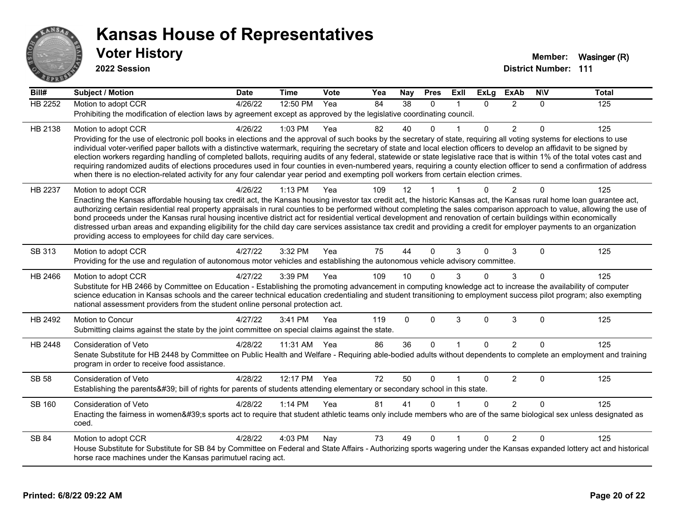

**2022 Session**

**Bill# Subject / Motion Date Time Vote Yea Nay Pres Exll ExLg ExAb N\V Total** HB 2252 Motion to adopt CCR 4/26/22 12:50 PM Yea 84 38 0 1 0 2 0 125 Prohibiting the modification of election laws by agreement except as approved by the legislative coordinating council. HB 2138 Motion to adopt CCR 4/26/22 1:03 PM Yea 82 40 0 1 0 2 0 125 Providing for the use of electronic poll books in elections and the approval of such books by the secretary of state, requiring all voting systems for elections to use individual voter-verified paper ballots with a distinctive watermark, requiring the secretary of state and local election officers to develop an affidavit to be signed by election workers regarding handling of completed ballots, requiring audits of any federal, statewide or state legislative race that is within 1% of the total votes cast and requiring randomized audits of elections procedures used in four counties in even-numbered years, requiring a county election officer to send a confirmation of address when there is no election-related activity for any four calendar year period and exempting poll workers from certain election crimes. HB 2237 Motion to adopt CCR 4/26/22 1:13 PM Yea 109 12 1 1 0 2 0 125 Enacting the Kansas affordable housing tax credit act, the Kansas housing investor tax credit act, the historic Kansas act, the Kansas rural home loan guarantee act, authorizing certain residential real property appraisals in rural counties to be performed without completing the sales comparison approach to value, allowing the use of bond proceeds under the Kansas rural housing incentive district act for residential vertical development and renovation of certain buildings within economically distressed urban areas and expanding eligibility for the child day care services assistance tax credit and providing a credit for employer payments to an organization providing access to employees for child day care services. SB 313 Motion to adopt CCR 4/27/22 3:32 PM Yea 75 44 0 3 0 3 0 125 Providing for the use and regulation of autonomous motor vehicles and establishing the autonomous vehicle advisory committee. HB 2466 Motion to adopt CCR 4/27/22 3:39 PM Yea 109 10 0 3 0 3 0 125 Substitute for HB 2466 by Committee on Education - Establishing the promoting advancement in computing knowledge act to increase the availability of computer science education in Kansas schools and the career technical education credentialing and student transitioning to employment success pilot program; also exempting national assessment providers from the student online personal protection act. HB 2492 Motion to Concur 4/27/22 3:41 PM Yea 119 0 0 3 0 3 0 125 Submitting claims against the state by the joint committee on special claims against the state. HB 2448 Consideration of Veto 4/28/22 11:31 AM Yea 86 36 0 1 0 2 0 125 Senate Substitute for HB 2448 by Committee on Public Health and Welfare - Requiring able-bodied adults without dependents to complete an employment and training program in order to receive food assistance. SB 58 Consideration of Veto **4/28/22 12:17 PM Yea** 72 50 0 1 0 2 0 125 Establishing the parents' bill of rights for parents of students attending elementary or secondary school in this state. SB 160 Consideration of Veto **4/28/22 1:14 PM Yea** 81 41 0 1 0 2 0 125 Enacting the fairness in women's sports act to require that student athletic teams only include members who are of the same biological sex unless designated as coed. SB 84 Motion to adopt CCR 4/28/22 4:03 PM Nay 73 49 0 1 0 2 0 125 House Substitute for Substitute for SB 84 by Committee on Federal and State Affairs - Authorizing sports wagering under the Kansas expanded lottery act and historical horse race machines under the Kansas parimutuel racing act.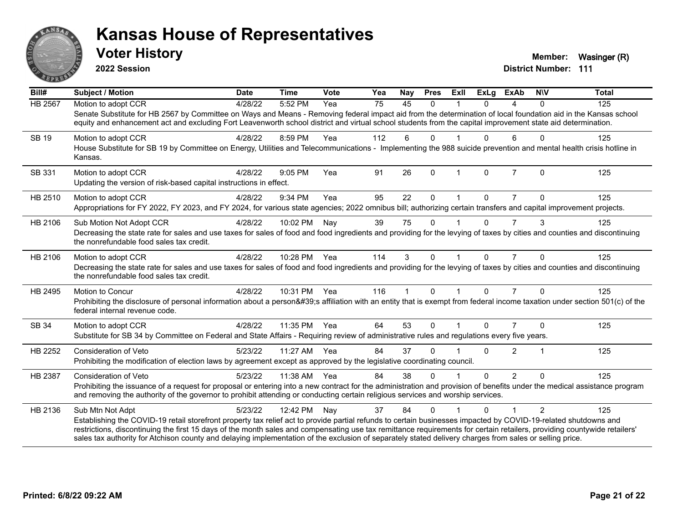

**2022 Session**

**District Number: 111 Voter History Member:** Wasinger (R)

| Bill#          | <b>Subject / Motion</b>                                                                                                                                                                                                                                                                                                             | <b>Date</b> | <b>Time</b>  | <b>Vote</b> | Yea | <b>Nay</b> | <b>Pres</b> | ExIl         | <b>ExLg</b> | <b>ExAb</b>    | <b>NIV</b>     | <b>Total</b> |
|----------------|-------------------------------------------------------------------------------------------------------------------------------------------------------------------------------------------------------------------------------------------------------------------------------------------------------------------------------------|-------------|--------------|-------------|-----|------------|-------------|--------------|-------------|----------------|----------------|--------------|
| HB 2567        | Motion to adopt CCR                                                                                                                                                                                                                                                                                                                 | 4/28/22     | 5:52 PM      | Yea         | 75  | 45         | $\Omega$    |              | $\Omega$    | 4              | $\mathbf{0}$   | 125          |
|                | Senate Substitute for HB 2567 by Committee on Ways and Means - Removing federal impact aid from the determination of local foundation aid in the Kansas school<br>equity and enhancement act and excluding Fort Leavenworth school district and virtual school students from the capital improvement state aid determination.       |             |              |             |     |            |             |              |             |                |                |              |
| <b>SB 19</b>   | Motion to adopt CCR                                                                                                                                                                                                                                                                                                                 | 4/28/22     | 8:59 PM      | Yea         | 112 | 6          | $\Omega$    |              | U           | 6              | $\Omega$       | 125          |
|                | House Substitute for SB 19 by Committee on Energy, Utilities and Telecommunications - Implementing the 988 suicide prevention and mental health crisis hotline in<br>Kansas.                                                                                                                                                        |             |              |             |     |            |             |              |             |                |                |              |
| SB 331         | Motion to adopt CCR                                                                                                                                                                                                                                                                                                                 | 4/28/22     | 9:05 PM      | Yea         | 91  | 26         | $\Omega$    | $\mathbf{1}$ | $\Omega$    | $\overline{7}$ | $\mathbf{0}$   | 125          |
|                | Updating the version of risk-based capital instructions in effect.                                                                                                                                                                                                                                                                  |             |              |             |     |            |             |              |             |                |                |              |
| HB 2510        | Motion to adopt CCR                                                                                                                                                                                                                                                                                                                 | 4/28/22     | 9:34 PM      | Yea         | 95  | 22         | $\Omega$    |              | 0           |                | $\Omega$       | 125          |
|                | Appropriations for FY 2022, FY 2023, and FY 2024, for various state agencies; 2022 omnibus bill; authorizing certain transfers and capital improvement projects.                                                                                                                                                                    |             |              |             |     |            |             |              |             |                |                |              |
| HB 2106        | Sub Motion Not Adopt CCR                                                                                                                                                                                                                                                                                                            | 4/28/22     | 10:02 PM     | Nay         | 39  | 75         | $\Omega$    |              | 0           | $\overline{7}$ | 3              | 125          |
|                | Decreasing the state rate for sales and use taxes for sales of food and food ingredients and providing for the levying of taxes by cities and counties and discontinuing<br>the nonrefundable food sales tax credit.                                                                                                                |             |              |             |     |            |             |              |             |                |                |              |
| HB 2106        | Motion to adopt CCR                                                                                                                                                                                                                                                                                                                 | 4/28/22     | 10:28 PM Yea |             | 114 | 3          | $\Omega$    |              | $\Omega$    | $\overline{7}$ | $\Omega$       | 125          |
|                | Decreasing the state rate for sales and use taxes for sales of food and food ingredients and providing for the levying of taxes by cities and counties and discontinuing<br>the nonrefundable food sales tax credit.                                                                                                                |             |              |             |     |            |             |              |             |                |                |              |
| HB 2495        | <b>Motion to Concur</b>                                                                                                                                                                                                                                                                                                             | 4/28/22     | 10:31 PM Yea |             | 116 | 1          | $\Omega$    |              | $\Omega$    | $\overline{7}$ | $\Omega$       | 125          |
|                | Prohibiting the disclosure of personal information about a person's affiliation with an entity that is exempt from federal income taxation under section 501(c) of the<br>federal internal revenue code.                                                                                                                            |             |              |             |     |            |             |              |             |                |                |              |
| SB 34          | Motion to adopt CCR                                                                                                                                                                                                                                                                                                                 | 4/28/22     | 11:35 PM     | Yea         | 64  | 53         | $\Omega$    |              | $\Omega$    | 7              | $\Omega$       | 125          |
|                | Substitute for SB 34 by Committee on Federal and State Affairs - Requiring review of administrative rules and regulations every five years.                                                                                                                                                                                         |             |              |             |     |            |             |              |             |                |                |              |
| HB 2252        | <b>Consideration of Veto</b>                                                                                                                                                                                                                                                                                                        | 5/23/22     | 11:27 AM     | Yea         | 84  | 37         | $\Omega$    |              | 0           | 2              | 1              | 125          |
|                | Prohibiting the modification of election laws by agreement except as approved by the legislative coordinating council.                                                                                                                                                                                                              |             |              |             |     |            |             |              |             |                |                |              |
| <b>HB 2387</b> | <b>Consideration of Veto</b>                                                                                                                                                                                                                                                                                                        | 5/23/22     | 11:38 AM     | Yea         | 84  | 38         | $\Omega$    |              | $\Omega$    | $\overline{2}$ | $\Omega$       | 125          |
|                | Prohibiting the issuance of a request for proposal or entering into a new contract for the administration and provision of benefits under the medical assistance program<br>and removing the authority of the governor to prohibit attending or conducting certain religious services and worship services.                         |             |              |             |     |            |             |              |             |                |                |              |
| HB 2136        | Sub Mtn Not Adpt                                                                                                                                                                                                                                                                                                                    | 5/23/22     | 12:42 PM     | Nay         | 37  | 84         | $\Omega$    |              | $\Omega$    |                | $\overline{2}$ | 125          |
|                | Establishing the COVID-19 retail storefront property tax relief act to provide partial refunds to certain businesses impacted by COVID-19-related shutdowns and                                                                                                                                                                     |             |              |             |     |            |             |              |             |                |                |              |
|                | restrictions, discontinuing the first 15 days of the month sales and compensating use tax remittance requirements for certain retailers, providing countywide retailers'<br>sales tax authority for Atchison county and delaying implementation of the exclusion of separately stated delivery charges from sales or selling price. |             |              |             |     |            |             |              |             |                |                |              |